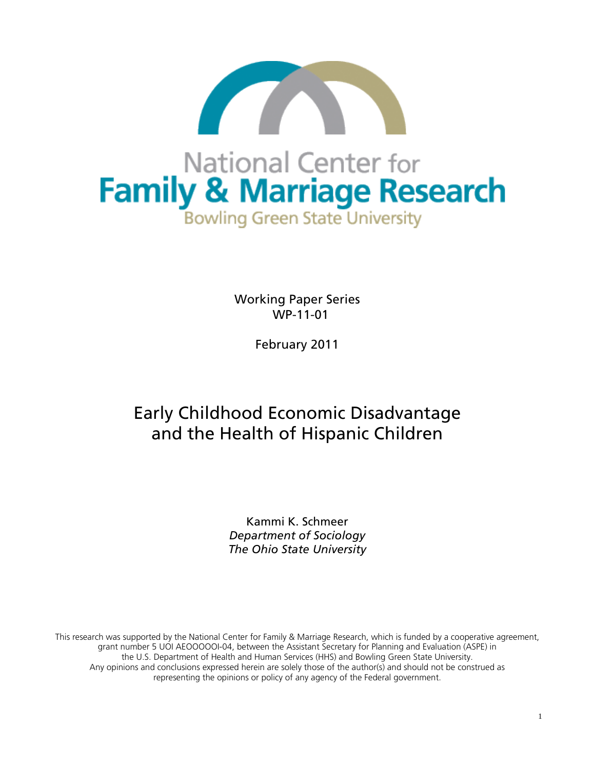

Working Paper Series WP-11-01

February 2011

# Early Childhood Economic Disadvantage and the Health of Hispanic Children

Kammi K. Schmeer *Department of Sociology The Ohio State University*

This research was supported by the National Center for Family & Marriage Research, which is funded by a cooperative agreement, grant number 5 UOI AEOOOOOI-04, between the Assistant Secretary for Planning and Evaluation (ASPE) in the U.S. Department of Health and Human Services (HHS) and Bowling Green State University. Any opinions and conclusions expressed herein are solely those of the author(s) and should not be construed as representing the opinions or policy of any agency of the Federal government.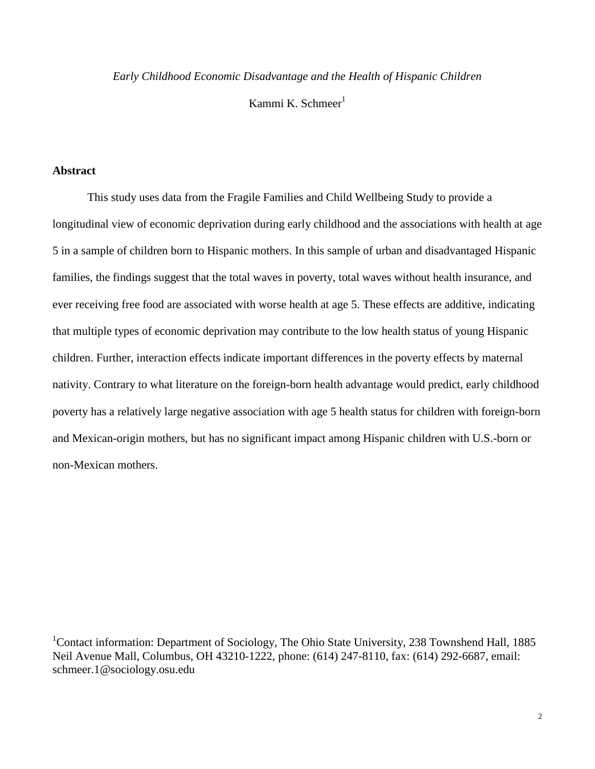*Early Childhood Economic Disadvantage and the Health of Hispanic Children* 

Kammi K. Schmeer $<sup>1</sup>$ </sup>

# **Abstract**

This study uses data from the Fragile Families and Child Wellbeing Study to provide a longitudinal view of economic deprivation during early childhood and the associations with health at age 5 in a sample of children born to Hispanic mothers. In this sample of urban and disadvantaged Hispanic families, the findings suggest that the total waves in poverty, total waves without health insurance, and ever receiving free food are associated with worse health at age 5. These effects are additive, indicating that multiple types of economic deprivation may contribute to the low health status of young Hispanic children. Further, interaction effects indicate important differences in the poverty effects by maternal nativity. Contrary to what literature on the foreign-born health advantage would predict, early childhood poverty has a relatively large negative association with age 5 health status for children with foreign-born and Mexican-origin mothers, but has no significant impact among Hispanic children with U.S.-born or non-Mexican mothers.

<sup>1</sup>Contact information: Department of Sociology, The Ohio State University, 238 Townshend Hall, 1885 Neil Avenue Mall, Columbus, OH 43210-1222, phone: (614) 247-8110, fax: (614) 292-6687, email: schmeer.1@sociology.osu.edu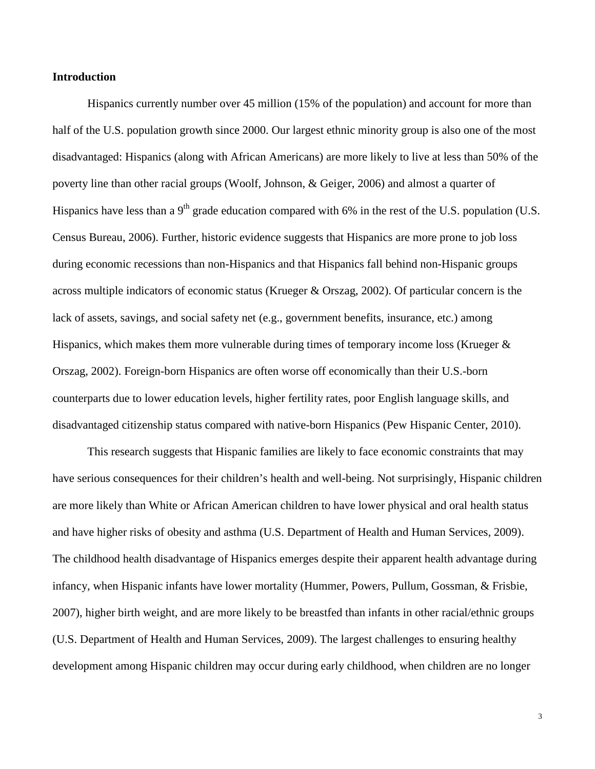## **Introduction**

Hispanics currently number over 45 million (15% of the population) and account for more than half of the U.S. population growth since 2000. Our largest ethnic minority group is also one of the most disadvantaged: Hispanics (along with African Americans) are more likely to live at less than 50% of the poverty line than other racial groups (Woolf, Johnson, & Geiger, 2006) and almost a quarter of Hispanics have less than a  $9<sup>th</sup>$  grade education compared with 6% in the rest of the U.S. population (U.S. Census Bureau, 2006). Further, historic evidence suggests that Hispanics are more prone to job loss during economic recessions than non-Hispanics and that Hispanics fall behind non-Hispanic groups across multiple indicators of economic status (Krueger & Orszag, 2002). Of particular concern is the lack of assets, savings, and social safety net (e.g., government benefits, insurance, etc.) among Hispanics, which makes them more vulnerable during times of temporary income loss (Krueger & Orszag, 2002). Foreign-born Hispanics are often worse off economically than their U.S.-born counterparts due to lower education levels, higher fertility rates, poor English language skills, and disadvantaged citizenship status compared with native-born Hispanics (Pew Hispanic Center, 2010).

This research suggests that Hispanic families are likely to face economic constraints that may have serious consequences for their children's health and well-being. Not surprisingly, Hispanic children are more likely than White or African American children to have lower physical and oral health status and have higher risks of obesity and asthma (U.S. Department of Health and Human Services, 2009). The childhood health disadvantage of Hispanics emerges despite their apparent health advantage during infancy, when Hispanic infants have lower mortality (Hummer, Powers, Pullum, Gossman, & Frisbie, 2007), higher birth weight, and are more likely to be breastfed than infants in other racial/ethnic groups (U.S. Department of Health and Human Services, 2009). The largest challenges to ensuring healthy development among Hispanic children may occur during early childhood, when children are no longer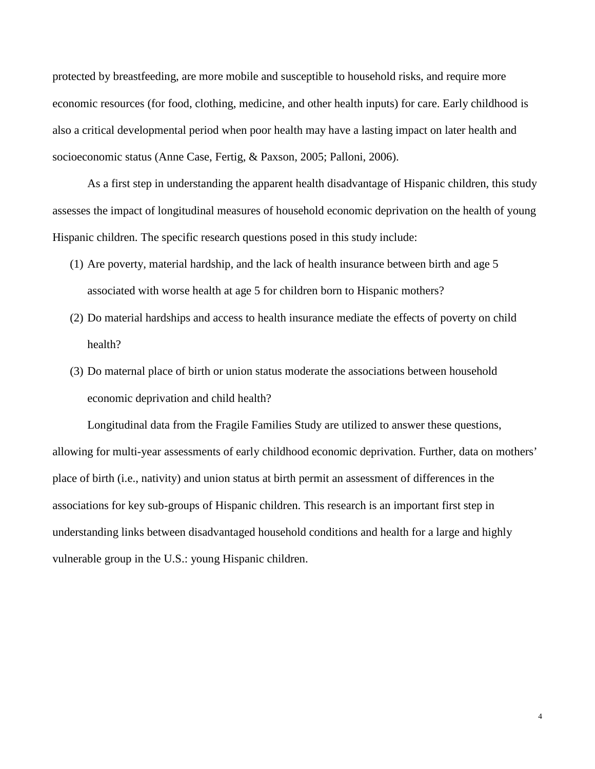protected by breastfeeding, are more mobile and susceptible to household risks, and require more economic resources (for food, clothing, medicine, and other health inputs) for care. Early childhood is also a critical developmental period when poor health may have a lasting impact on later health and socioeconomic status (Anne Case, Fertig, & Paxson, 2005; Palloni, 2006).

As a first step in understanding the apparent health disadvantage of Hispanic children, this study assesses the impact of longitudinal measures of household economic deprivation on the health of young Hispanic children. The specific research questions posed in this study include:

- (1) Are poverty, material hardship, and the lack of health insurance between birth and age 5 associated with worse health at age 5 for children born to Hispanic mothers?
- (2) Do material hardships and access to health insurance mediate the effects of poverty on child health?
- (3) Do maternal place of birth or union status moderate the associations between household economic deprivation and child health?

Longitudinal data from the Fragile Families Study are utilized to answer these questions, allowing for multi-year assessments of early childhood economic deprivation. Further, data on mothers' place of birth (i.e., nativity) and union status at birth permit an assessment of differences in the associations for key sub-groups of Hispanic children. This research is an important first step in understanding links between disadvantaged household conditions and health for a large and highly vulnerable group in the U.S.: young Hispanic children.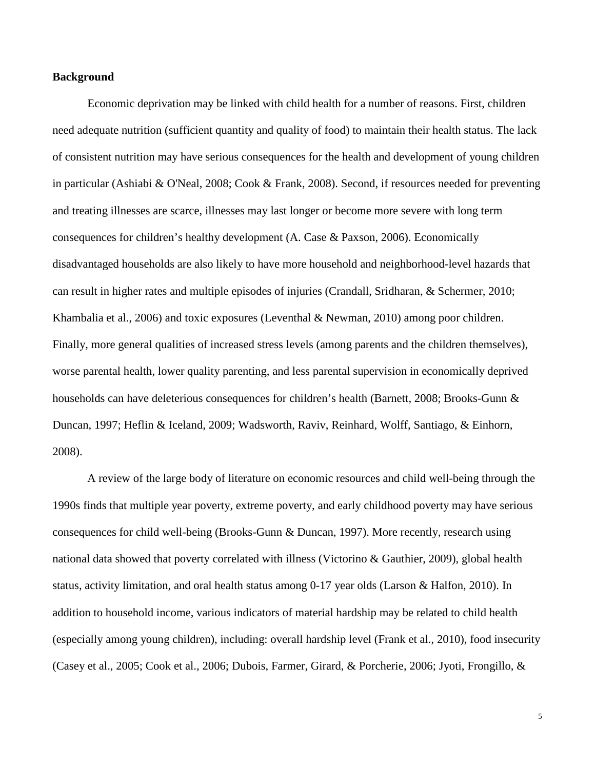## **Background**

Economic deprivation may be linked with child health for a number of reasons. First, children need adequate nutrition (sufficient quantity and quality of food) to maintain their health status. The lack of consistent nutrition may have serious consequences for the health and development of young children in particular (Ashiabi & O'Neal, 2008; Cook & Frank, 2008). Second, if resources needed for preventing and treating illnesses are scarce, illnesses may last longer or become more severe with long term consequences for children's healthy development (A. Case & Paxson, 2006). Economically disadvantaged households are also likely to have more household and neighborhood-level hazards that can result in higher rates and multiple episodes of injuries (Crandall, Sridharan, & Schermer, 2010; Khambalia et al., 2006) and toxic exposures (Leventhal & Newman, 2010) among poor children. Finally, more general qualities of increased stress levels (among parents and the children themselves), worse parental health, lower quality parenting, and less parental supervision in economically deprived households can have deleterious consequences for children's health (Barnett, 2008; Brooks-Gunn & Duncan, 1997; Heflin & Iceland, 2009; Wadsworth, Raviv, Reinhard, Wolff, Santiago, & Einhorn, 2008).

A review of the large body of literature on economic resources and child well-being through the 1990s finds that multiple year poverty, extreme poverty, and early childhood poverty may have serious consequences for child well-being (Brooks-Gunn & Duncan, 1997). More recently, research using national data showed that poverty correlated with illness (Victorino & Gauthier, 2009), global health status, activity limitation, and oral health status among 0-17 year olds (Larson & Halfon, 2010). In addition to household income, various indicators of material hardship may be related to child health (especially among young children), including: overall hardship level (Frank et al., 2010), food insecurity (Casey et al., 2005; Cook et al., 2006; Dubois, Farmer, Girard, & Porcherie, 2006; Jyoti, Frongillo, &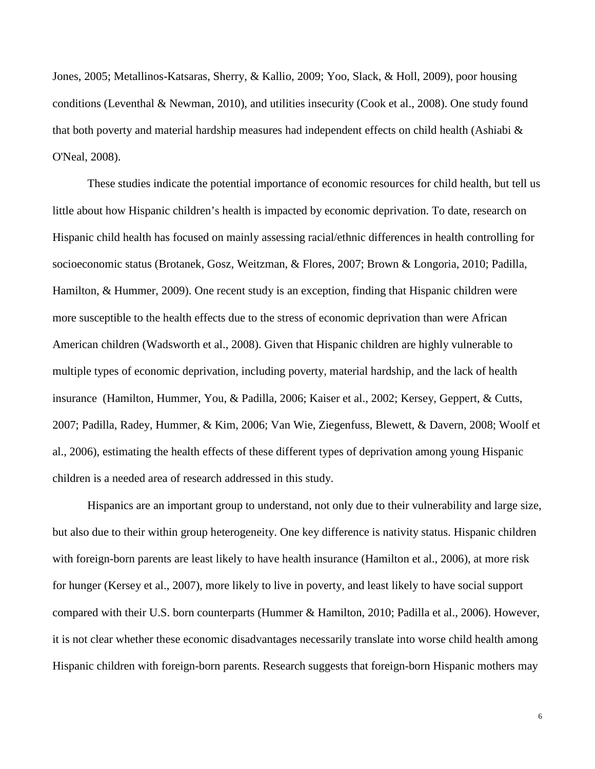Jones, 2005; Metallinos-Katsaras, Sherry, & Kallio, 2009; Yoo, Slack, & Holl, 2009), poor housing conditions (Leventhal & Newman, 2010), and utilities insecurity (Cook et al., 2008). One study found that both poverty and material hardship measures had independent effects on child health (Ashiabi & O'Neal, 2008).

These studies indicate the potential importance of economic resources for child health, but tell us little about how Hispanic children's health is impacted by economic deprivation. To date, research on Hispanic child health has focused on mainly assessing racial/ethnic differences in health controlling for socioeconomic status (Brotanek, Gosz, Weitzman, & Flores, 2007; Brown & Longoria, 2010; Padilla, Hamilton, & Hummer, 2009). One recent study is an exception, finding that Hispanic children were more susceptible to the health effects due to the stress of economic deprivation than were African American children (Wadsworth et al., 2008). Given that Hispanic children are highly vulnerable to multiple types of economic deprivation, including poverty, material hardship, and the lack of health insurance (Hamilton, Hummer, You, & Padilla, 2006; Kaiser et al., 2002; Kersey, Geppert, & Cutts, 2007; Padilla, Radey, Hummer, & Kim, 2006; Van Wie, Ziegenfuss, Blewett, & Davern, 2008; Woolf et al., 2006), estimating the health effects of these different types of deprivation among young Hispanic children is a needed area of research addressed in this study.

Hispanics are an important group to understand, not only due to their vulnerability and large size, but also due to their within group heterogeneity. One key difference is nativity status. Hispanic children with foreign-born parents are least likely to have health insurance (Hamilton et al., 2006), at more risk for hunger (Kersey et al., 2007), more likely to live in poverty, and least likely to have social support compared with their U.S. born counterparts (Hummer & Hamilton, 2010; Padilla et al., 2006). However, it is not clear whether these economic disadvantages necessarily translate into worse child health among Hispanic children with foreign-born parents. Research suggests that foreign-born Hispanic mothers may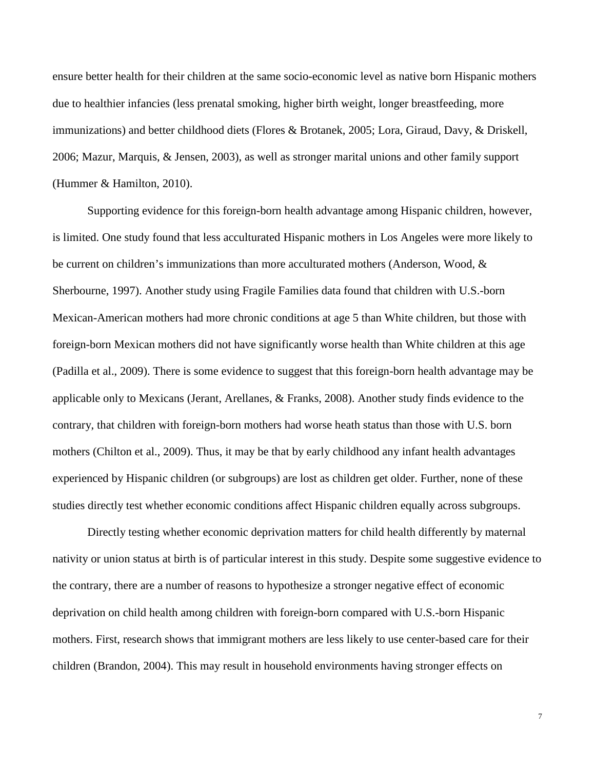ensure better health for their children at the same socio-economic level as native born Hispanic mothers due to healthier infancies (less prenatal smoking, higher birth weight, longer breastfeeding, more immunizations) and better childhood diets (Flores & Brotanek, 2005; Lora, Giraud, Davy, & Driskell, 2006; Mazur, Marquis, & Jensen, 2003), as well as stronger marital unions and other family support (Hummer & Hamilton, 2010).

Supporting evidence for this foreign-born health advantage among Hispanic children, however, is limited. One study found that less acculturated Hispanic mothers in Los Angeles were more likely to be current on children's immunizations than more acculturated mothers (Anderson, Wood, & Sherbourne, 1997). Another study using Fragile Families data found that children with U.S.-born Mexican-American mothers had more chronic conditions at age 5 than White children, but those with foreign-born Mexican mothers did not have significantly worse health than White children at this age (Padilla et al., 2009). There is some evidence to suggest that this foreign-born health advantage may be applicable only to Mexicans (Jerant, Arellanes, & Franks, 2008). Another study finds evidence to the contrary, that children with foreign-born mothers had worse heath status than those with U.S. born mothers (Chilton et al., 2009). Thus, it may be that by early childhood any infant health advantages experienced by Hispanic children (or subgroups) are lost as children get older. Further, none of these studies directly test whether economic conditions affect Hispanic children equally across subgroups.

Directly testing whether economic deprivation matters for child health differently by maternal nativity or union status at birth is of particular interest in this study. Despite some suggestive evidence to the contrary, there are a number of reasons to hypothesize a stronger negative effect of economic deprivation on child health among children with foreign-born compared with U.S.-born Hispanic mothers. First, research shows that immigrant mothers are less likely to use center-based care for their children (Brandon, 2004). This may result in household environments having stronger effects on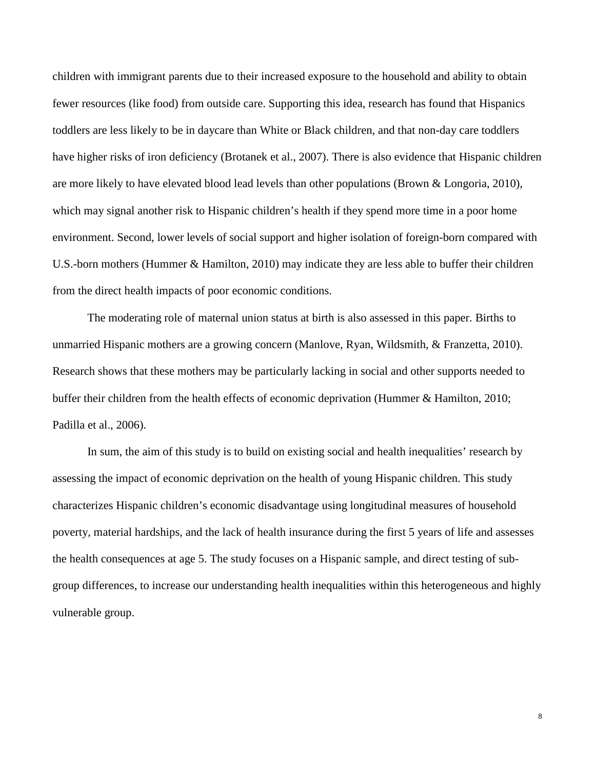children with immigrant parents due to their increased exposure to the household and ability to obtain fewer resources (like food) from outside care. Supporting this idea, research has found that Hispanics toddlers are less likely to be in daycare than White or Black children, and that non-day care toddlers have higher risks of iron deficiency (Brotanek et al., 2007). There is also evidence that Hispanic children are more likely to have elevated blood lead levels than other populations (Brown & Longoria, 2010), which may signal another risk to Hispanic children's health if they spend more time in a poor home environment. Second, lower levels of social support and higher isolation of foreign-born compared with U.S.-born mothers (Hummer & Hamilton, 2010) may indicate they are less able to buffer their children from the direct health impacts of poor economic conditions.

 The moderating role of maternal union status at birth is also assessed in this paper. Births to unmarried Hispanic mothers are a growing concern (Manlove, Ryan, Wildsmith, & Franzetta, 2010). Research shows that these mothers may be particularly lacking in social and other supports needed to buffer their children from the health effects of economic deprivation (Hummer & Hamilton, 2010; Padilla et al., 2006).

In sum, the aim of this study is to build on existing social and health inequalities' research by assessing the impact of economic deprivation on the health of young Hispanic children. This study characterizes Hispanic children's economic disadvantage using longitudinal measures of household poverty, material hardships, and the lack of health insurance during the first 5 years of life and assesses the health consequences at age 5. The study focuses on a Hispanic sample, and direct testing of subgroup differences, to increase our understanding health inequalities within this heterogeneous and highly vulnerable group.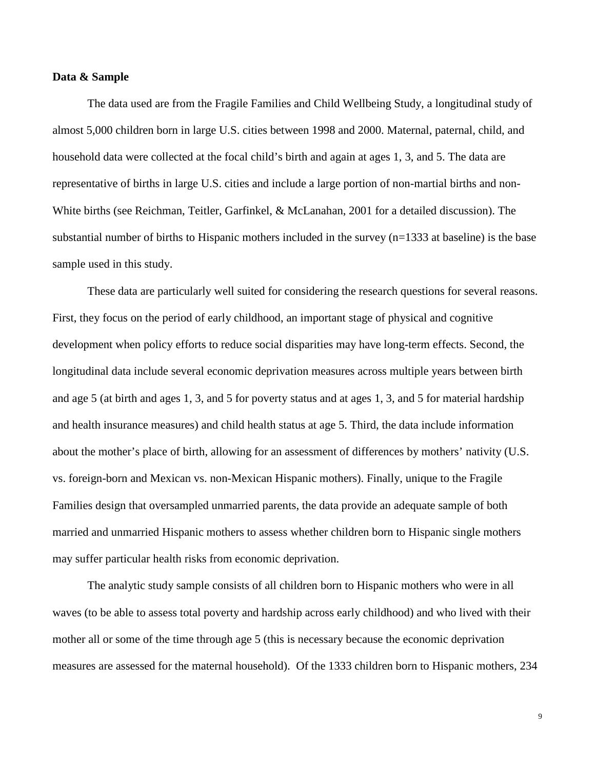## **Data & Sample**

The data used are from the Fragile Families and Child Wellbeing Study, a longitudinal study of almost 5,000 children born in large U.S. cities between 1998 and 2000. Maternal, paternal, child, and household data were collected at the focal child's birth and again at ages 1, 3, and 5. The data are representative of births in large U.S. cities and include a large portion of non-martial births and non-White births (see Reichman, Teitler, Garfinkel, & McLanahan, 2001 for a detailed discussion). The substantial number of births to Hispanic mothers included in the survey (n=1333 at baseline) is the base sample used in this study.

These data are particularly well suited for considering the research questions for several reasons. First, they focus on the period of early childhood, an important stage of physical and cognitive development when policy efforts to reduce social disparities may have long-term effects. Second, the longitudinal data include several economic deprivation measures across multiple years between birth and age 5 (at birth and ages 1, 3, and 5 for poverty status and at ages 1, 3, and 5 for material hardship and health insurance measures) and child health status at age 5. Third, the data include information about the mother's place of birth, allowing for an assessment of differences by mothers' nativity (U.S. vs. foreign-born and Mexican vs. non-Mexican Hispanic mothers). Finally, unique to the Fragile Families design that oversampled unmarried parents, the data provide an adequate sample of both married and unmarried Hispanic mothers to assess whether children born to Hispanic single mothers may suffer particular health risks from economic deprivation.

The analytic study sample consists of all children born to Hispanic mothers who were in all waves (to be able to assess total poverty and hardship across early childhood) and who lived with their mother all or some of the time through age 5 (this is necessary because the economic deprivation measures are assessed for the maternal household). Of the 1333 children born to Hispanic mothers, 234

9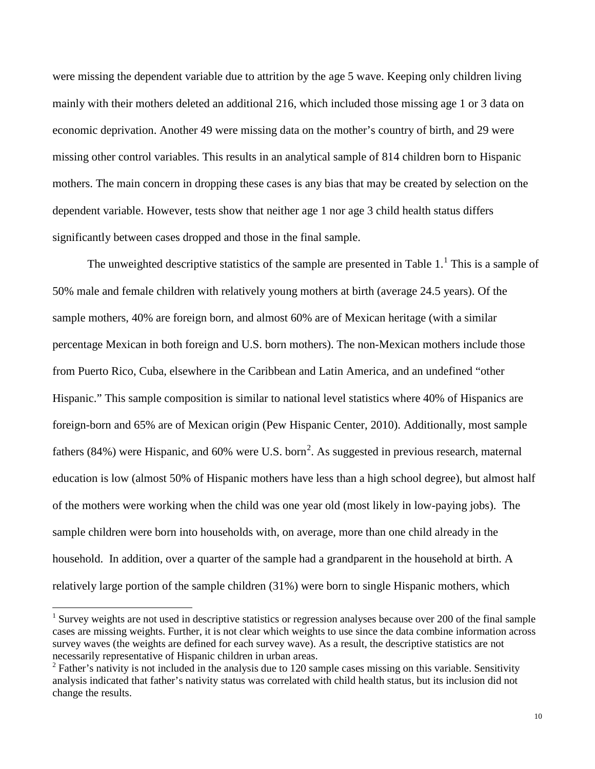were missing the dependent variable due to attrition by the age 5 wave. Keeping only children living mainly with their mothers deleted an additional 216, which included those missing age 1 or 3 data on economic deprivation. Another 49 were missing data on the mother's country of birth, and 29 were missing other control variables. This results in an analytical sample of 814 children born to Hispanic mothers. The main concern in dropping these cases is any bias that may be created by selection on the dependent variable. However, tests show that neither age 1 nor age 3 child health status differs significantly between cases dropped and those in the final sample.

The unweighted descriptive statistics of the sample are presented in Table  $1<sup>1</sup>$  $1<sup>1</sup>$ . This is a sample of 50% male and female children with relatively young mothers at birth (average 24.5 years). Of the sample mothers, 40% are foreign born, and almost 60% are of Mexican heritage (with a similar percentage Mexican in both foreign and U.S. born mothers). The non-Mexican mothers include those from Puerto Rico, Cuba, elsewhere in the Caribbean and Latin America, and an undefined "other Hispanic." This sample composition is similar to national level statistics where 40% of Hispanics are foreign-born and 65% are of Mexican origin (Pew Hispanic Center, 2010). Additionally, most sample fathers (84%) were Hispanic, and 60% were U.S. born<sup>[2](#page-9-1)</sup>. As suggested in previous research, maternal education is low (almost 50% of Hispanic mothers have less than a high school degree), but almost half of the mothers were working when the child was one year old (most likely in low-paying jobs). The sample children were born into households with, on average, more than one child already in the household. In addition, over a quarter of the sample had a grandparent in the household at birth. A relatively large portion of the sample children (31%) were born to single Hispanic mothers, which

 $\overline{\phantom{0}}$ 

<span id="page-9-0"></span><sup>&</sup>lt;sup>1</sup> Survey weights are not used in descriptive statistics or regression analyses because over 200 of the final sample cases are missing weights. Further, it is not clear which weights to use since the data combine information across survey waves (the weights are defined for each survey wave). As a result, the descriptive statistics are not necessarily representative of Hispanic children in urban areas.

<span id="page-9-1"></span> $2^2$  Father's nativity is not included in the analysis due to 120 sample cases missing on this variable. Sensitivity analysis indicated that father's nativity status was correlated with child health status, but its inclusion did not change the results.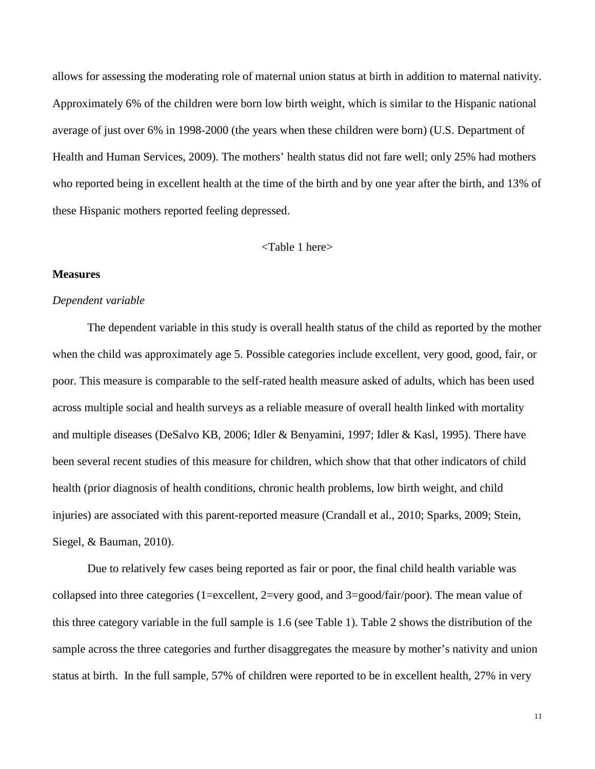allows for assessing the moderating role of maternal union status at birth in addition to maternal nativity. Approximately 6% of the children were born low birth weight, which is similar to the Hispanic national average of just over 6% in 1998-2000 (the years when these children were born) (U.S. Department of Health and Human Services, 2009). The mothers' health status did not fare well; only 25% had mothers who reported being in excellent health at the time of the birth and by one year after the birth, and 13% of these Hispanic mothers reported feeling depressed.

## <Table 1 here>

## **Measures**

#### *Dependent variable*

The dependent variable in this study is overall health status of the child as reported by the mother when the child was approximately age 5. Possible categories include excellent, very good, good, fair, or poor. This measure is comparable to the self-rated health measure asked of adults, which has been used across multiple social and health surveys as a reliable measure of overall health linked with mortality and multiple diseases (DeSalvo KB, 2006; Idler & Benyamini, 1997; Idler & Kasl, 1995). There have been several recent studies of this measure for children, which show that that other indicators of child health (prior diagnosis of health conditions, chronic health problems, low birth weight, and child injuries) are associated with this parent-reported measure (Crandall et al., 2010; Sparks, 2009; Stein, Siegel, & Bauman, 2010).

Due to relatively few cases being reported as fair or poor, the final child health variable was collapsed into three categories (1=excellent, 2=very good, and 3=good/fair/poor). The mean value of this three category variable in the full sample is 1.6 (see Table 1). Table 2 shows the distribution of the sample across the three categories and further disaggregates the measure by mother's nativity and union status at birth. In the full sample, 57% of children were reported to be in excellent health, 27% in very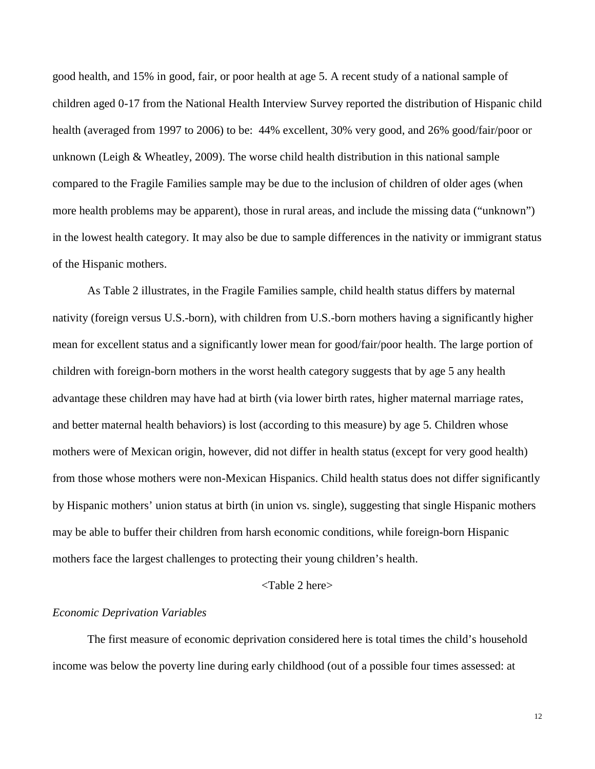good health, and 15% in good, fair, or poor health at age 5. A recent study of a national sample of children aged 0-17 from the National Health Interview Survey reported the distribution of Hispanic child health (averaged from 1997 to 2006) to be: 44% excellent, 30% very good, and 26% good/fair/poor or unknown (Leigh & Wheatley, 2009). The worse child health distribution in this national sample compared to the Fragile Families sample may be due to the inclusion of children of older ages (when more health problems may be apparent), those in rural areas, and include the missing data ("unknown") in the lowest health category. It may also be due to sample differences in the nativity or immigrant status of the Hispanic mothers.

As Table 2 illustrates, in the Fragile Families sample, child health status differs by maternal nativity (foreign versus U.S.-born), with children from U.S.-born mothers having a significantly higher mean for excellent status and a significantly lower mean for good/fair/poor health. The large portion of children with foreign-born mothers in the worst health category suggests that by age 5 any health advantage these children may have had at birth (via lower birth rates, higher maternal marriage rates, and better maternal health behaviors) is lost (according to this measure) by age 5. Children whose mothers were of Mexican origin, however, did not differ in health status (except for very good health) from those whose mothers were non-Mexican Hispanics. Child health status does not differ significantly by Hispanic mothers' union status at birth (in union vs. single), suggesting that single Hispanic mothers may be able to buffer their children from harsh economic conditions, while foreign-born Hispanic mothers face the largest challenges to protecting their young children's health.

## <Table 2 here>

#### *Economic Deprivation Variables*

The first measure of economic deprivation considered here is total times the child's household income was below the poverty line during early childhood (out of a possible four times assessed: at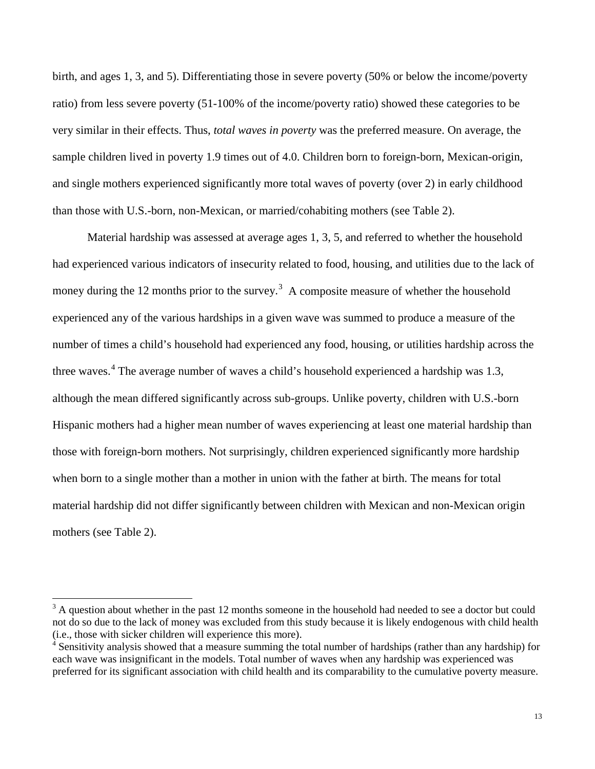birth, and ages 1, 3, and 5). Differentiating those in severe poverty (50% or below the income/poverty ratio) from less severe poverty (51-100% of the income/poverty ratio) showed these categories to be very similar in their effects. Thus, *total waves in poverty* was the preferred measure. On average, the sample children lived in poverty 1.9 times out of 4.0. Children born to foreign-born, Mexican-origin, and single mothers experienced significantly more total waves of poverty (over 2) in early childhood than those with U.S.-born, non-Mexican, or married/cohabiting mothers (see Table 2).

Material hardship was assessed at average ages 1, 3, 5, and referred to whether the household had experienced various indicators of insecurity related to food, housing, and utilities due to the lack of money during the 12 months prior to the survey.<sup>[3](#page-12-0)</sup> A composite measure of whether the household experienced any of the various hardships in a given wave was summed to produce a measure of the number of times a child's household had experienced any food, housing, or utilities hardship across the three waves.<sup>[4](#page-12-1)</sup> The average number of waves a child's household experienced a hardship was 1.3, although the mean differed significantly across sub-groups. Unlike poverty, children with U.S.-born Hispanic mothers had a higher mean number of waves experiencing at least one material hardship than those with foreign-born mothers. Not surprisingly, children experienced significantly more hardship when born to a single mother than a mother in union with the father at birth. The means for total material hardship did not differ significantly between children with Mexican and non-Mexican origin mothers (see Table 2).

ı

<span id="page-12-0"></span> $3$  A question about whether in the past 12 months someone in the household had needed to see a doctor but could not do so due to the lack of money was excluded from this study because it is likely endogenous with child health (i.e., those with sicker children will experience this more).

<span id="page-12-1"></span>Sensitivity analysis showed that a measure summing the total number of hardships (rather than any hardship) for each wave was insignificant in the models. Total number of waves when any hardship was experienced was preferred for its significant association with child health and its comparability to the cumulative poverty measure.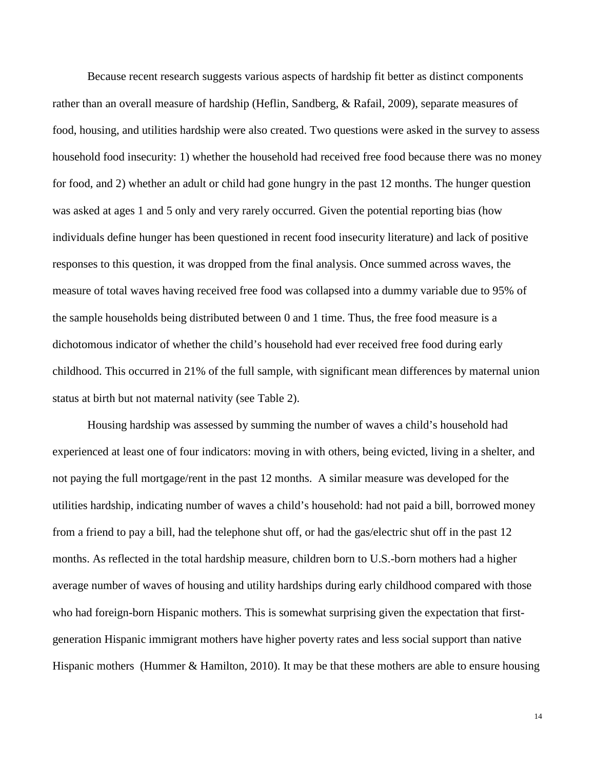Because recent research suggests various aspects of hardship fit better as distinct components rather than an overall measure of hardship (Heflin, Sandberg, & Rafail, 2009), separate measures of food, housing, and utilities hardship were also created. Two questions were asked in the survey to assess household food insecurity: 1) whether the household had received free food because there was no money for food, and 2) whether an adult or child had gone hungry in the past 12 months. The hunger question was asked at ages 1 and 5 only and very rarely occurred. Given the potential reporting bias (how individuals define hunger has been questioned in recent food insecurity literature) and lack of positive responses to this question, it was dropped from the final analysis. Once summed across waves, the measure of total waves having received free food was collapsed into a dummy variable due to 95% of the sample households being distributed between 0 and 1 time. Thus, the free food measure is a dichotomous indicator of whether the child's household had ever received free food during early childhood. This occurred in 21% of the full sample, with significant mean differences by maternal union status at birth but not maternal nativity (see Table 2).

Housing hardship was assessed by summing the number of waves a child's household had experienced at least one of four indicators: moving in with others, being evicted, living in a shelter, and not paying the full mortgage/rent in the past 12 months. A similar measure was developed for the utilities hardship, indicating number of waves a child's household: had not paid a bill, borrowed money from a friend to pay a bill, had the telephone shut off, or had the gas/electric shut off in the past 12 months. As reflected in the total hardship measure, children born to U.S.-born mothers had a higher average number of waves of housing and utility hardships during early childhood compared with those who had foreign-born Hispanic mothers. This is somewhat surprising given the expectation that firstgeneration Hispanic immigrant mothers have higher poverty rates and less social support than native Hispanic mothers (Hummer & Hamilton, 2010). It may be that these mothers are able to ensure housing

14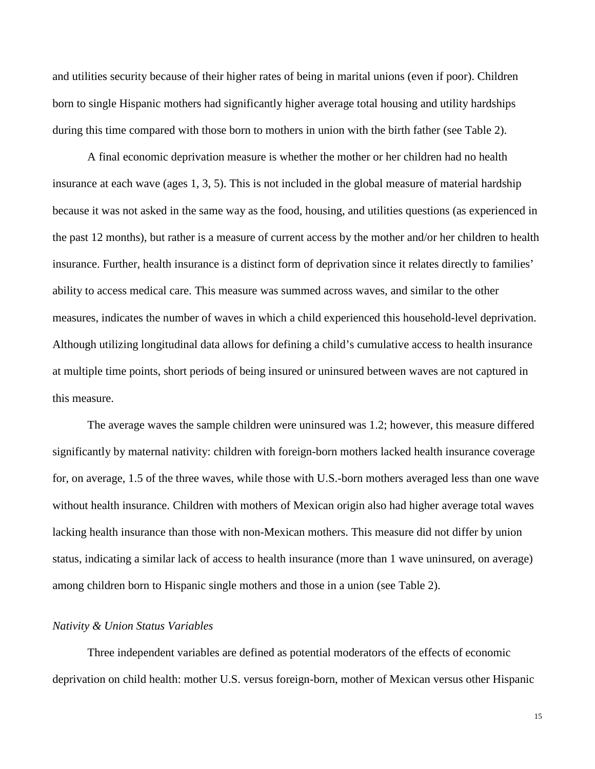and utilities security because of their higher rates of being in marital unions (even if poor). Children born to single Hispanic mothers had significantly higher average total housing and utility hardships during this time compared with those born to mothers in union with the birth father (see Table 2).

A final economic deprivation measure is whether the mother or her children had no health insurance at each wave (ages 1, 3, 5). This is not included in the global measure of material hardship because it was not asked in the same way as the food, housing, and utilities questions (as experienced in the past 12 months), but rather is a measure of current access by the mother and/or her children to health insurance. Further, health insurance is a distinct form of deprivation since it relates directly to families' ability to access medical care. This measure was summed across waves, and similar to the other measures, indicates the number of waves in which a child experienced this household-level deprivation. Although utilizing longitudinal data allows for defining a child's cumulative access to health insurance at multiple time points, short periods of being insured or uninsured between waves are not captured in this measure.

The average waves the sample children were uninsured was 1.2; however, this measure differed significantly by maternal nativity: children with foreign-born mothers lacked health insurance coverage for, on average, 1.5 of the three waves, while those with U.S.-born mothers averaged less than one wave without health insurance. Children with mothers of Mexican origin also had higher average total waves lacking health insurance than those with non-Mexican mothers. This measure did not differ by union status, indicating a similar lack of access to health insurance (more than 1 wave uninsured, on average) among children born to Hispanic single mothers and those in a union (see Table 2).

# *Nativity & Union Status Variables*

Three independent variables are defined as potential moderators of the effects of economic deprivation on child health: mother U.S. versus foreign-born, mother of Mexican versus other Hispanic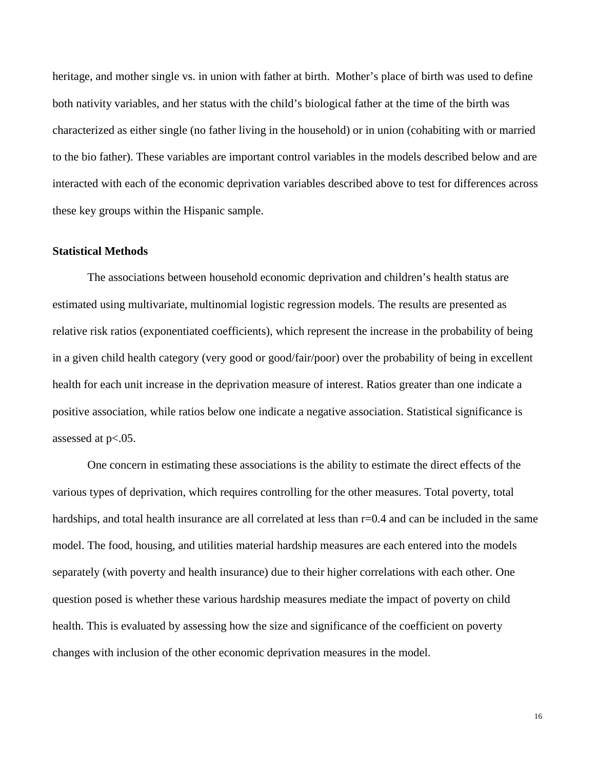heritage, and mother single vs. in union with father at birth. Mother's place of birth was used to define both nativity variables, and her status with the child's biological father at the time of the birth was characterized as either single (no father living in the household) or in union (cohabiting with or married to the bio father). These variables are important control variables in the models described below and are interacted with each of the economic deprivation variables described above to test for differences across these key groups within the Hispanic sample.

# **Statistical Methods**

The associations between household economic deprivation and children's health status are estimated using multivariate, multinomial logistic regression models. The results are presented as relative risk ratios (exponentiated coefficients), which represent the increase in the probability of being in a given child health category (very good or good/fair/poor) over the probability of being in excellent health for each unit increase in the deprivation measure of interest. Ratios greater than one indicate a positive association, while ratios below one indicate a negative association. Statistical significance is assessed at  $p<.05$ .

One concern in estimating these associations is the ability to estimate the direct effects of the various types of deprivation, which requires controlling for the other measures. Total poverty, total hardships, and total health insurance are all correlated at less than  $r=0.4$  and can be included in the same model. The food, housing, and utilities material hardship measures are each entered into the models separately (with poverty and health insurance) due to their higher correlations with each other. One question posed is whether these various hardship measures mediate the impact of poverty on child health. This is evaluated by assessing how the size and significance of the coefficient on poverty changes with inclusion of the other economic deprivation measures in the model.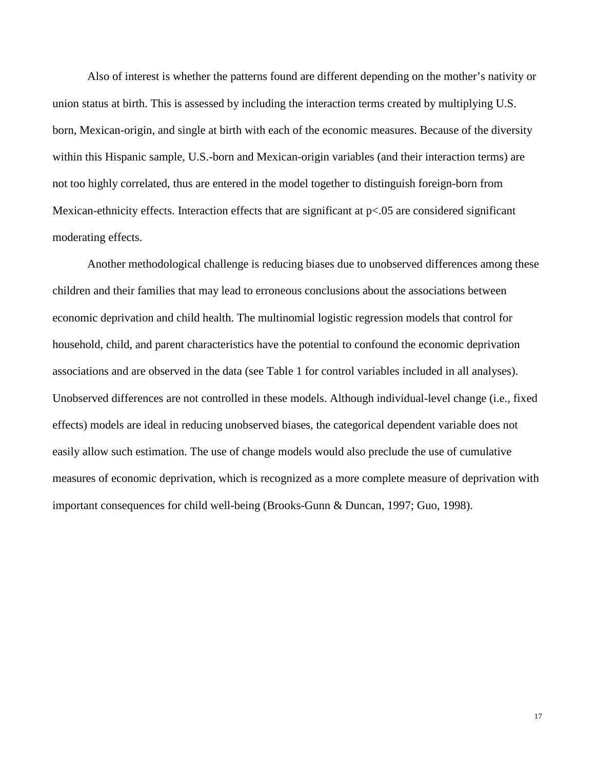Also of interest is whether the patterns found are different depending on the mother's nativity or union status at birth. This is assessed by including the interaction terms created by multiplying U.S. born, Mexican-origin, and single at birth with each of the economic measures. Because of the diversity within this Hispanic sample, U.S.-born and Mexican-origin variables (and their interaction terms) are not too highly correlated, thus are entered in the model together to distinguish foreign-born from Mexican-ethnicity effects. Interaction effects that are significant at  $p<0.05$  are considered significant moderating effects.

Another methodological challenge is reducing biases due to unobserved differences among these children and their families that may lead to erroneous conclusions about the associations between economic deprivation and child health. The multinomial logistic regression models that control for household, child, and parent characteristics have the potential to confound the economic deprivation associations and are observed in the data (see Table 1 for control variables included in all analyses). Unobserved differences are not controlled in these models. Although individual-level change (i.e., fixed effects) models are ideal in reducing unobserved biases, the categorical dependent variable does not easily allow such estimation. The use of change models would also preclude the use of cumulative measures of economic deprivation, which is recognized as a more complete measure of deprivation with important consequences for child well-being (Brooks-Gunn & Duncan, 1997; Guo, 1998).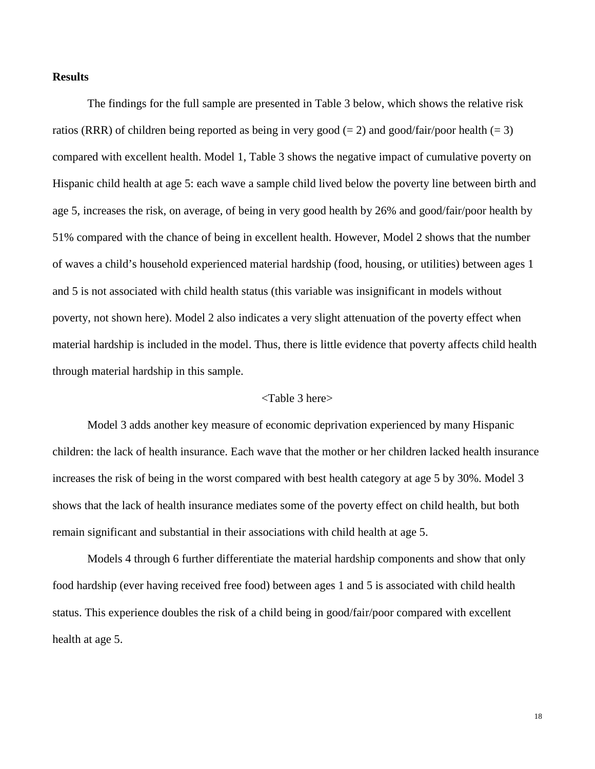## **Results**

The findings for the full sample are presented in Table 3 below, which shows the relative risk ratios (RRR) of children being reported as being in very good (= 2) and good/fair/poor health (= 3) compared with excellent health. Model 1, Table 3 shows the negative impact of cumulative poverty on Hispanic child health at age 5: each wave a sample child lived below the poverty line between birth and age 5, increases the risk, on average, of being in very good health by 26% and good/fair/poor health by 51% compared with the chance of being in excellent health. However, Model 2 shows that the number of waves a child's household experienced material hardship (food, housing, or utilities) between ages 1 and 5 is not associated with child health status (this variable was insignificant in models without poverty, not shown here). Model 2 also indicates a very slight attenuation of the poverty effect when material hardship is included in the model. Thus, there is little evidence that poverty affects child health through material hardship in this sample.

# <Table 3 here>

Model 3 adds another key measure of economic deprivation experienced by many Hispanic children: the lack of health insurance. Each wave that the mother or her children lacked health insurance increases the risk of being in the worst compared with best health category at age 5 by 30%. Model 3 shows that the lack of health insurance mediates some of the poverty effect on child health, but both remain significant and substantial in their associations with child health at age 5.

Models 4 through 6 further differentiate the material hardship components and show that only food hardship (ever having received free food) between ages 1 and 5 is associated with child health status. This experience doubles the risk of a child being in good/fair/poor compared with excellent health at age 5.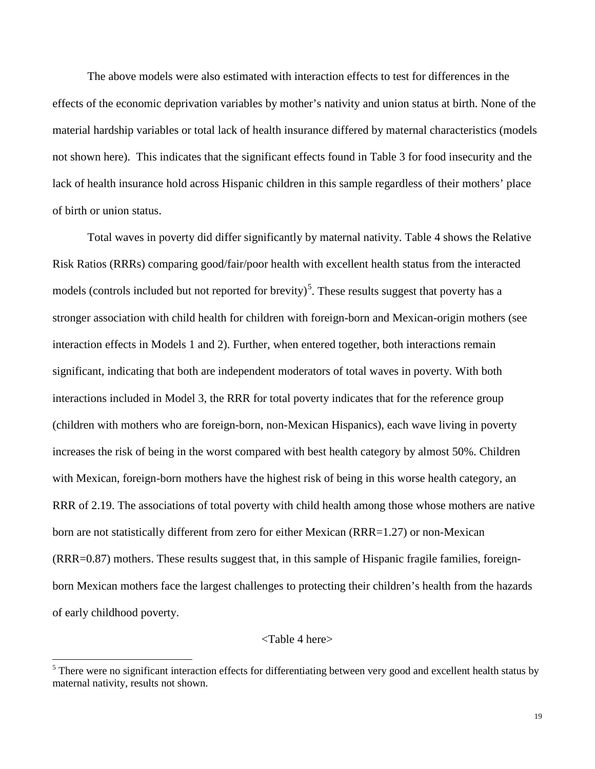The above models were also estimated with interaction effects to test for differences in the effects of the economic deprivation variables by mother's nativity and union status at birth. None of the material hardship variables or total lack of health insurance differed by maternal characteristics (models not shown here). This indicates that the significant effects found in Table 3 for food insecurity and the lack of health insurance hold across Hispanic children in this sample regardless of their mothers' place of birth or union status.

Total waves in poverty did differ significantly by maternal nativity. Table 4 shows the Relative Risk Ratios (RRRs) comparing good/fair/poor health with excellent health status from the interacted models (controls included but not reported for brevity)<sup>[5](#page-18-0)</sup>. These results suggest that poverty has a stronger association with child health for children with foreign-born and Mexican-origin mothers (see interaction effects in Models 1 and 2). Further, when entered together, both interactions remain significant, indicating that both are independent moderators of total waves in poverty. With both interactions included in Model 3, the RRR for total poverty indicates that for the reference group (children with mothers who are foreign-born, non-Mexican Hispanics), each wave living in poverty increases the risk of being in the worst compared with best health category by almost 50%. Children with Mexican, foreign-born mothers have the highest risk of being in this worse health category, an RRR of 2.19. The associations of total poverty with child health among those whose mothers are native born are not statistically different from zero for either Mexican (RRR=1.27) or non-Mexican (RRR=0.87) mothers. These results suggest that, in this sample of Hispanic fragile families, foreignborn Mexican mothers face the largest challenges to protecting their children's health from the hazards of early childhood poverty.

## <Table 4 here>

 $\overline{\phantom{0}}$ 

<span id="page-18-0"></span><sup>&</sup>lt;sup>5</sup> There were no significant interaction effects for differentiating between very good and excellent health status by maternal nativity, results not shown.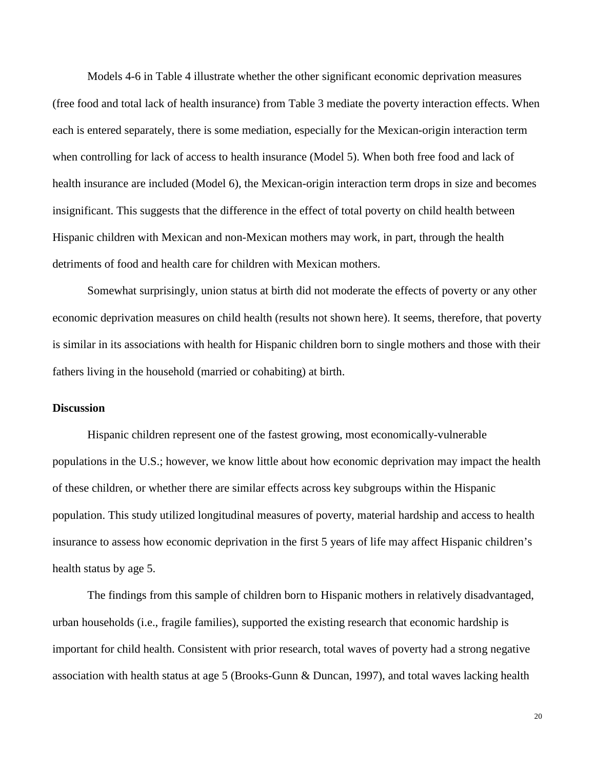Models 4-6 in Table 4 illustrate whether the other significant economic deprivation measures (free food and total lack of health insurance) from Table 3 mediate the poverty interaction effects. When each is entered separately, there is some mediation, especially for the Mexican-origin interaction term when controlling for lack of access to health insurance (Model 5). When both free food and lack of health insurance are included (Model 6), the Mexican-origin interaction term drops in size and becomes insignificant. This suggests that the difference in the effect of total poverty on child health between Hispanic children with Mexican and non-Mexican mothers may work, in part, through the health detriments of food and health care for children with Mexican mothers.

Somewhat surprisingly, union status at birth did not moderate the effects of poverty or any other economic deprivation measures on child health (results not shown here). It seems, therefore, that poverty is similar in its associations with health for Hispanic children born to single mothers and those with their fathers living in the household (married or cohabiting) at birth.

## **Discussion**

Hispanic children represent one of the fastest growing, most economically-vulnerable populations in the U.S.; however, we know little about how economic deprivation may impact the health of these children, or whether there are similar effects across key subgroups within the Hispanic population. This study utilized longitudinal measures of poverty, material hardship and access to health insurance to assess how economic deprivation in the first 5 years of life may affect Hispanic children's health status by age 5.

The findings from this sample of children born to Hispanic mothers in relatively disadvantaged, urban households (i.e., fragile families), supported the existing research that economic hardship is important for child health. Consistent with prior research, total waves of poverty had a strong negative association with health status at age 5 (Brooks-Gunn & Duncan, 1997), and total waves lacking health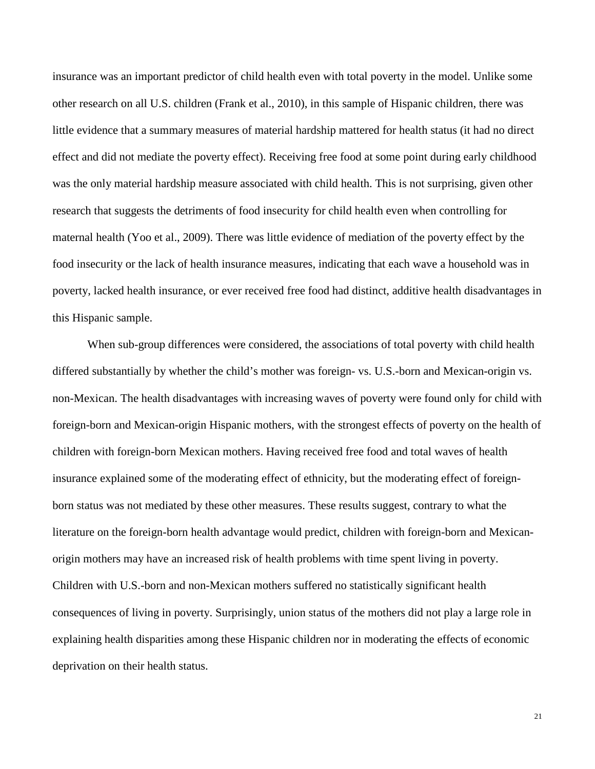insurance was an important predictor of child health even with total poverty in the model. Unlike some other research on all U.S. children (Frank et al., 2010), in this sample of Hispanic children, there was little evidence that a summary measures of material hardship mattered for health status (it had no direct effect and did not mediate the poverty effect). Receiving free food at some point during early childhood was the only material hardship measure associated with child health. This is not surprising, given other research that suggests the detriments of food insecurity for child health even when controlling for maternal health (Yoo et al., 2009). There was little evidence of mediation of the poverty effect by the food insecurity or the lack of health insurance measures, indicating that each wave a household was in poverty, lacked health insurance, or ever received free food had distinct, additive health disadvantages in this Hispanic sample.

When sub-group differences were considered, the associations of total poverty with child health differed substantially by whether the child's mother was foreign- vs. U.S.-born and Mexican-origin vs. non-Mexican. The health disadvantages with increasing waves of poverty were found only for child with foreign-born and Mexican-origin Hispanic mothers, with the strongest effects of poverty on the health of children with foreign-born Mexican mothers. Having received free food and total waves of health insurance explained some of the moderating effect of ethnicity, but the moderating effect of foreignborn status was not mediated by these other measures. These results suggest, contrary to what the literature on the foreign-born health advantage would predict, children with foreign-born and Mexicanorigin mothers may have an increased risk of health problems with time spent living in poverty. Children with U.S.-born and non-Mexican mothers suffered no statistically significant health consequences of living in poverty. Surprisingly, union status of the mothers did not play a large role in explaining health disparities among these Hispanic children nor in moderating the effects of economic deprivation on their health status.

21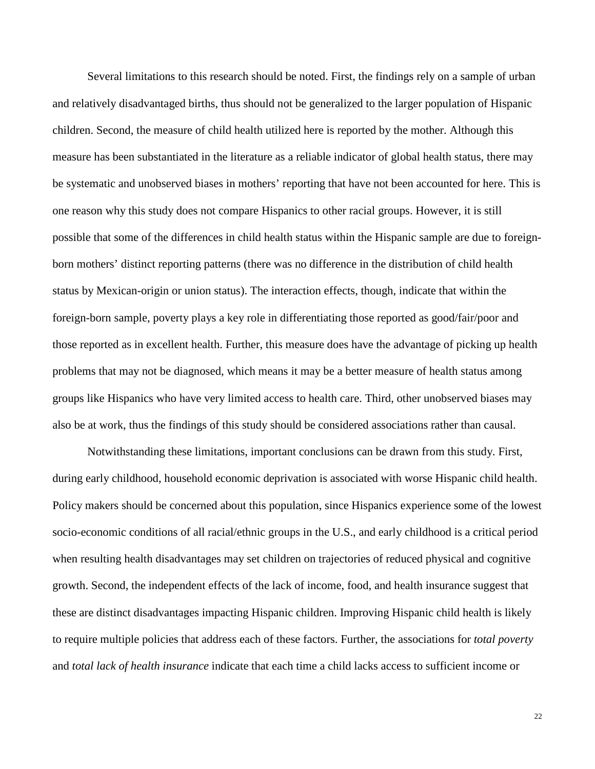Several limitations to this research should be noted. First, the findings rely on a sample of urban and relatively disadvantaged births, thus should not be generalized to the larger population of Hispanic children. Second, the measure of child health utilized here is reported by the mother. Although this measure has been substantiated in the literature as a reliable indicator of global health status, there may be systematic and unobserved biases in mothers' reporting that have not been accounted for here. This is one reason why this study does not compare Hispanics to other racial groups. However, it is still possible that some of the differences in child health status within the Hispanic sample are due to foreignborn mothers' distinct reporting patterns (there was no difference in the distribution of child health status by Mexican-origin or union status). The interaction effects, though, indicate that within the foreign-born sample, poverty plays a key role in differentiating those reported as good/fair/poor and those reported as in excellent health. Further, this measure does have the advantage of picking up health problems that may not be diagnosed, which means it may be a better measure of health status among groups like Hispanics who have very limited access to health care. Third, other unobserved biases may also be at work, thus the findings of this study should be considered associations rather than causal.

Notwithstanding these limitations, important conclusions can be drawn from this study. First, during early childhood, household economic deprivation is associated with worse Hispanic child health. Policy makers should be concerned about this population, since Hispanics experience some of the lowest socio-economic conditions of all racial/ethnic groups in the U.S., and early childhood is a critical period when resulting health disadvantages may set children on trajectories of reduced physical and cognitive growth. Second, the independent effects of the lack of income, food, and health insurance suggest that these are distinct disadvantages impacting Hispanic children. Improving Hispanic child health is likely to require multiple policies that address each of these factors. Further, the associations for *total poverty* and *total lack of health insurance* indicate that each time a child lacks access to sufficient income or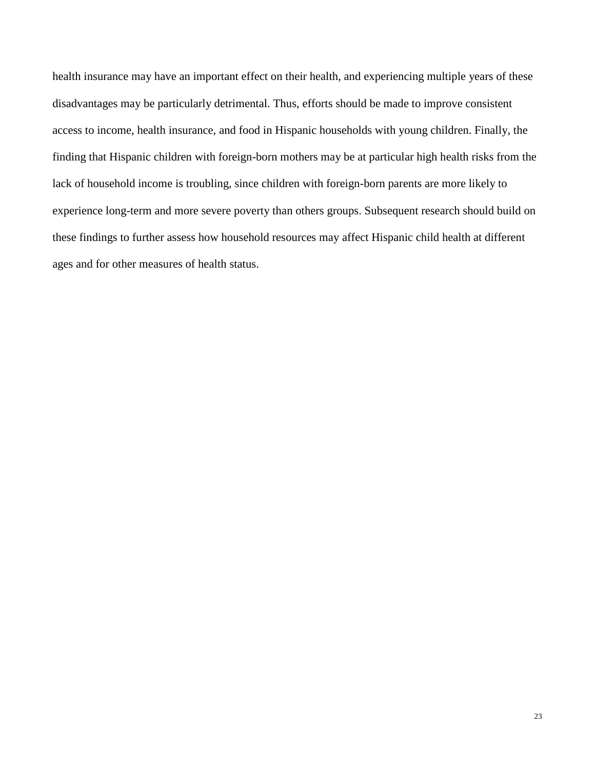health insurance may have an important effect on their health, and experiencing multiple years of these disadvantages may be particularly detrimental. Thus, efforts should be made to improve consistent access to income, health insurance, and food in Hispanic households with young children. Finally, the finding that Hispanic children with foreign-born mothers may be at particular high health risks from the lack of household income is troubling, since children with foreign-born parents are more likely to experience long-term and more severe poverty than others groups. Subsequent research should build on these findings to further assess how household resources may affect Hispanic child health at different ages and for other measures of health status.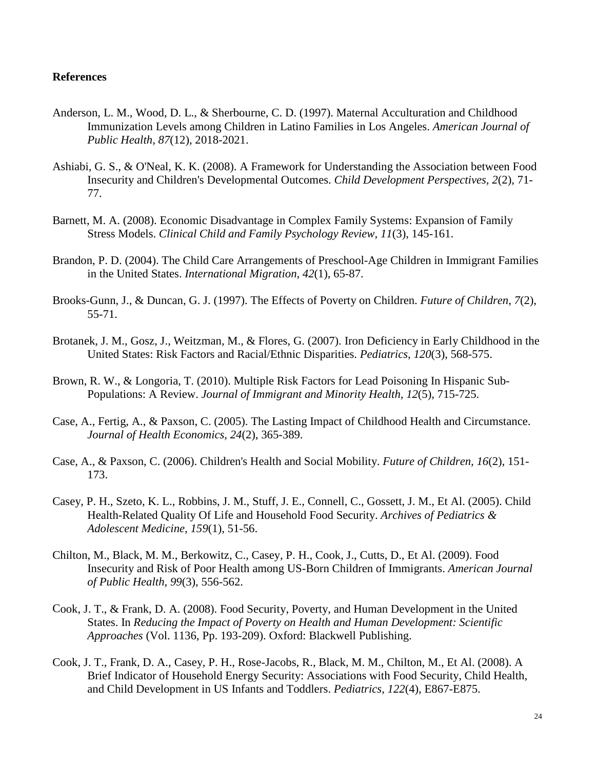# **References**

- Anderson, L. M., Wood, D. L., & Sherbourne, C. D. (1997). Maternal Acculturation and Childhood Immunization Levels among Children in Latino Families in Los Angeles. *American Journal of Public Health, 87*(12), 2018-2021.
- Ashiabi, G. S., & O'Neal, K. K. (2008). A Framework for Understanding the Association between Food Insecurity and Children's Developmental Outcomes. *Child Development Perspectives, 2*(2), 71- 77.
- Barnett, M. A. (2008). Economic Disadvantage in Complex Family Systems: Expansion of Family Stress Models. *Clinical Child and Family Psychology Review, 11*(3), 145-161.
- Brandon, P. D. (2004). The Child Care Arrangements of Preschool-Age Children in Immigrant Families in the United States. *International Migration, 42*(1), 65-87.
- Brooks-Gunn, J., & Duncan, G. J. (1997). The Effects of Poverty on Children. *Future of Children, 7*(2), 55-71.
- Brotanek, J. M., Gosz, J., Weitzman, M., & Flores, G. (2007). Iron Deficiency in Early Childhood in the United States: Risk Factors and Racial/Ethnic Disparities. *Pediatrics, 120*(3), 568-575.
- Brown, R. W., & Longoria, T. (2010). Multiple Risk Factors for Lead Poisoning In Hispanic Sub-Populations: A Review. *Journal of Immigrant and Minority Health, 12*(5), 715-725.
- Case, A., Fertig, A., & Paxson, C. (2005). The Lasting Impact of Childhood Health and Circumstance. *Journal of Health Economics, 24*(2), 365-389.
- Case, A., & Paxson, C. (2006). Children's Health and Social Mobility. *Future of Children, 16*(2), 151- 173.
- Casey, P. H., Szeto, K. L., Robbins, J. M., Stuff, J. E., Connell, C., Gossett, J. M., Et Al. (2005). Child Health-Related Quality Of Life and Household Food Security. *Archives of Pediatrics & Adolescent Medicine, 159*(1), 51-56.
- Chilton, M., Black, M. M., Berkowitz, C., Casey, P. H., Cook, J., Cutts, D., Et Al. (2009). Food Insecurity and Risk of Poor Health among US-Born Children of Immigrants. *American Journal of Public Health, 99*(3), 556-562.
- Cook, J. T., & Frank, D. A. (2008). Food Security, Poverty, and Human Development in the United States. In *Reducing the Impact of Poverty on Health and Human Development: Scientific Approaches* (Vol. 1136, Pp. 193-209). Oxford: Blackwell Publishing.
- Cook, J. T., Frank, D. A., Casey, P. H., Rose-Jacobs, R., Black, M. M., Chilton, M., Et Al. (2008). A Brief Indicator of Household Energy Security: Associations with Food Security, Child Health, and Child Development in US Infants and Toddlers. *Pediatrics, 122*(4), E867-E875.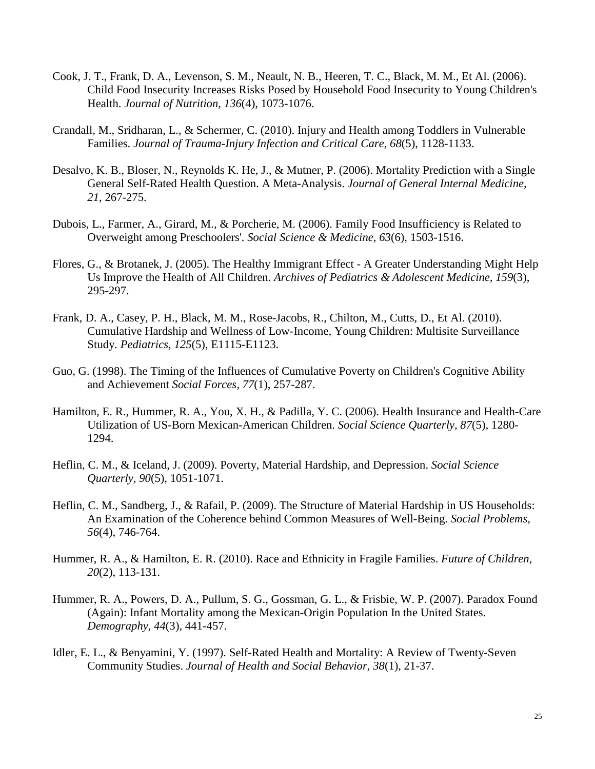- Cook, J. T., Frank, D. A., Levenson, S. M., Neault, N. B., Heeren, T. C., Black, M. M., Et Al. (2006). Child Food Insecurity Increases Risks Posed by Household Food Insecurity to Young Children's Health. *Journal of Nutrition, 136*(4), 1073-1076.
- Crandall, M., Sridharan, L., & Schermer, C. (2010). Injury and Health among Toddlers in Vulnerable Families. *Journal of Trauma-Injury Infection and Critical Care, 68*(5), 1128-1133.
- Desalvo, K. B., Bloser, N., Reynolds K. He, J., & Mutner, P. (2006). Mortality Prediction with a Single General Self-Rated Health Question. A Meta-Analysis. *Journal of General Internal Medicine, 21*, 267-275.
- Dubois, L., Farmer, A., Girard, M., & Porcherie, M. (2006). Family Food Insufficiency is Related to Overweight among Preschoolers'. *Social Science & Medicine, 63*(6), 1503-1516.
- Flores, G., & Brotanek, J. (2005). The Healthy Immigrant Effect A Greater Understanding Might Help Us Improve the Health of All Children. *Archives of Pediatrics & Adolescent Medicine, 159*(3), 295-297.
- Frank, D. A., Casey, P. H., Black, M. M., Rose-Jacobs, R., Chilton, M., Cutts, D., Et Al. (2010). Cumulative Hardship and Wellness of Low-Income, Young Children: Multisite Surveillance Study. *Pediatrics, 125*(5), E1115-E1123.
- Guo, G. (1998). The Timing of the Influences of Cumulative Poverty on Children's Cognitive Ability and Achievement *Social Forces, 77*(1), 257-287.
- Hamilton, E. R., Hummer, R. A., You, X. H., & Padilla, Y. C. (2006). Health Insurance and Health-Care Utilization of US-Born Mexican-American Children. *Social Science Quarterly, 87*(5), 1280- 1294.
- Heflin, C. M., & Iceland, J. (2009). Poverty, Material Hardship, and Depression. *Social Science Quarterly, 90*(5), 1051-1071.
- Heflin, C. M., Sandberg, J., & Rafail, P. (2009). The Structure of Material Hardship in US Households: An Examination of the Coherence behind Common Measures of Well-Being. *Social Problems, 56*(4), 746-764.
- Hummer, R. A., & Hamilton, E. R. (2010). Race and Ethnicity in Fragile Families. *Future of Children, 20*(2), 113-131.
- Hummer, R. A., Powers, D. A., Pullum, S. G., Gossman, G. L., & Frisbie, W. P. (2007). Paradox Found (Again): Infant Mortality among the Mexican-Origin Population In the United States. *Demography, 44*(3), 441-457.
- Idler, E. L., & Benyamini, Y. (1997). Self-Rated Health and Mortality: A Review of Twenty-Seven Community Studies. *Journal of Health and Social Behavior, 38*(1), 21-37.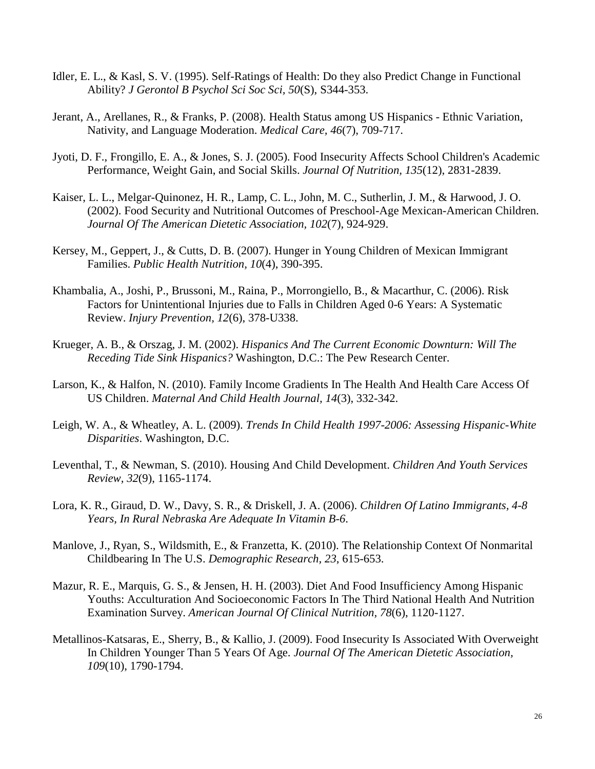- Idler, E. L., & Kasl, S. V. (1995). Self-Ratings of Health: Do they also Predict Change in Functional Ability? *J Gerontol B Psychol Sci Soc Sci, 50*(S), S344-353.
- Jerant, A., Arellanes, R., & Franks, P. (2008). Health Status among US Hispanics Ethnic Variation, Nativity, and Language Moderation. *Medical Care, 46*(7), 709-717.
- Jyoti, D. F., Frongillo, E. A., & Jones, S. J. (2005). Food Insecurity Affects School Children's Academic Performance, Weight Gain, and Social Skills. *Journal Of Nutrition, 135*(12), 2831-2839.
- Kaiser, L. L., Melgar-Quinonez, H. R., Lamp, C. L., John, M. C., Sutherlin, J. M., & Harwood, J. O. (2002). Food Security and Nutritional Outcomes of Preschool-Age Mexican-American Children. *Journal Of The American Dietetic Association, 102*(7), 924-929.
- Kersey, M., Geppert, J., & Cutts, D. B. (2007). Hunger in Young Children of Mexican Immigrant Families. *Public Health Nutrition, 10*(4), 390-395.
- Khambalia, A., Joshi, P., Brussoni, M., Raina, P., Morrongiello, B., & Macarthur, C. (2006). Risk Factors for Unintentional Injuries due to Falls in Children Aged 0-6 Years: A Systematic Review. *Injury Prevention, 12*(6), 378-U338.
- Krueger, A. B., & Orszag, J. M. (2002). *Hispanics And The Current Economic Downturn: Will The Receding Tide Sink Hispanics?* Washington, D.C.: The Pew Research Center.
- Larson, K., & Halfon, N. (2010). Family Income Gradients In The Health And Health Care Access Of US Children. *Maternal And Child Health Journal, 14*(3), 332-342.
- Leigh, W. A., & Wheatley, A. L. (2009). *Trends In Child Health 1997-2006: Assessing Hispanic-White Disparities*. Washington, D.C.
- Leventhal, T., & Newman, S. (2010). Housing And Child Development. *Children And Youth Services Review, 32*(9), 1165-1174.
- Lora, K. R., Giraud, D. W., Davy, S. R., & Driskell, J. A. (2006). *Children Of Latino Immigrants, 4-8 Years, In Rural Nebraska Are Adequate In Vitamin B-6*.
- Manlove, J., Ryan, S., Wildsmith, E., & Franzetta, K. (2010). The Relationship Context Of Nonmarital Childbearing In The U.S. *Demographic Research, 23*, 615-653.
- Mazur, R. E., Marquis, G. S., & Jensen, H. H. (2003). Diet And Food Insufficiency Among Hispanic Youths: Acculturation And Socioeconomic Factors In The Third National Health And Nutrition Examination Survey. *American Journal Of Clinical Nutrition, 78*(6), 1120-1127.
- Metallinos-Katsaras, E., Sherry, B., & Kallio, J. (2009). Food Insecurity Is Associated With Overweight In Children Younger Than 5 Years Of Age. *Journal Of The American Dietetic Association, 109*(10), 1790-1794.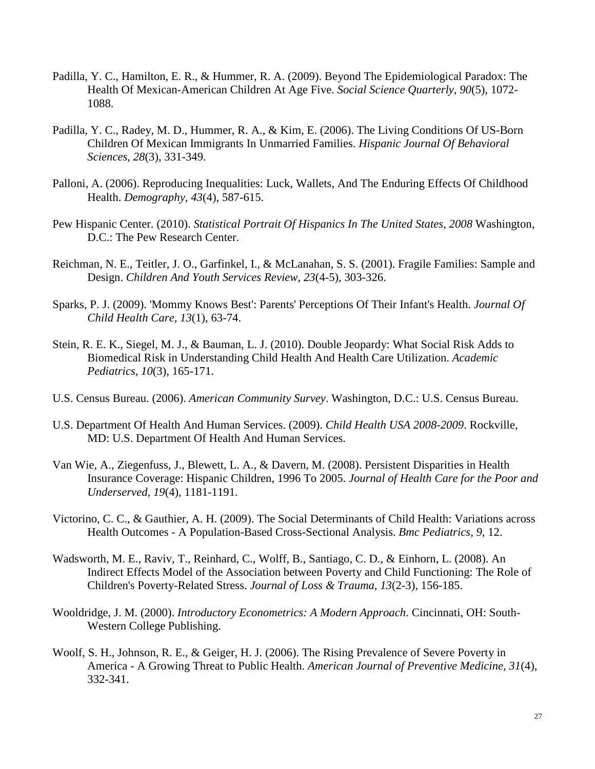- Padilla, Y. C., Hamilton, E. R., & Hummer, R. A. (2009). Beyond The Epidemiological Paradox: The Health Of Mexican-American Children At Age Five. *Social Science Quarterly, 90*(5), 1072- 1088.
- Padilla, Y. C., Radey, M. D., Hummer, R. A., & Kim, E. (2006). The Living Conditions Of US-Born Children Of Mexican Immigrants In Unmarried Families. *Hispanic Journal Of Behavioral Sciences, 28*(3), 331-349.
- Palloni, A. (2006). Reproducing Inequalities: Luck, Wallets, And The Enduring Effects Of Childhood Health. *Demography, 43*(4), 587-615.
- Pew Hispanic Center. (2010). *Statistical Portrait Of Hispanics In The United States, 2008* Washington, D.C.: The Pew Research Center.
- Reichman, N. E., Teitler, J. O., Garfinkel, I., & McLanahan, S. S. (2001). Fragile Families: Sample and Design. *Children And Youth Services Review, 23*(4-5), 303-326.
- Sparks, P. J. (2009). 'Mommy Knows Best': Parents' Perceptions Of Their Infant's Health. *Journal Of Child Health Care, 13*(1), 63-74.
- Stein, R. E. K., Siegel, M. J., & Bauman, L. J. (2010). Double Jeopardy: What Social Risk Adds to Biomedical Risk in Understanding Child Health And Health Care Utilization. *Academic Pediatrics, 10*(3), 165-171.
- U.S. Census Bureau. (2006). *American Community Survey*. Washington, D.C.: U.S. Census Bureau.
- U.S. Department Of Health And Human Services. (2009). *Child Health USA 2008-2009*. Rockville, MD: U.S. Department Of Health And Human Services.
- Van Wie, A., Ziegenfuss, J., Blewett, L. A., & Davern, M. (2008). Persistent Disparities in Health Insurance Coverage: Hispanic Children, 1996 To 2005. *Journal of Health Care for the Poor and Underserved, 19*(4), 1181-1191.
- Victorino, C. C., & Gauthier, A. H. (2009). The Social Determinants of Child Health: Variations across Health Outcomes - A Population-Based Cross-Sectional Analysis. *Bmc Pediatrics, 9*, 12.
- Wadsworth, M. E., Raviv, T., Reinhard, C., Wolff, B., Santiago, C. D., & Einhorn, L. (2008). An Indirect Effects Model of the Association between Poverty and Child Functioning: The Role of Children's Poverty-Related Stress. *Journal of Loss & Trauma, 13*(2-3), 156-185.
- Wooldridge, J. M. (2000). *Introductory Econometrics: A Modern Approach*. Cincinnati, OH: South-Western College Publishing.
- Woolf, S. H., Johnson, R. E., & Geiger, H. J. (2006). The Rising Prevalence of Severe Poverty in America - A Growing Threat to Public Health. *American Journal of Preventive Medicine, 31*(4), 332-341.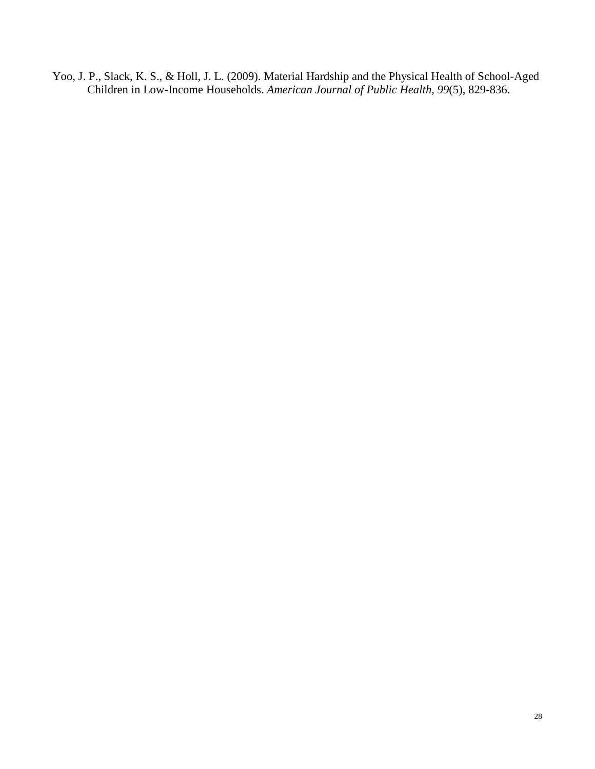Yoo, J. P., Slack, K. S., & Holl, J. L. (2009). Material Hardship and the Physical Health of School-Aged Children in Low-Income Households. *American Journal of Public Health, 99*(5), 829-836.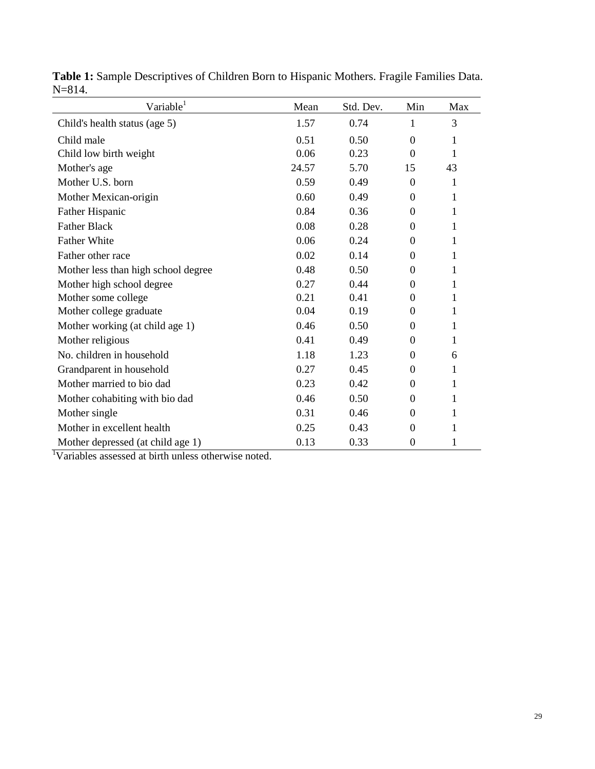| Variable <sup>1</sup>               | Mean  | Std. Dev. | Min              | Max |
|-------------------------------------|-------|-----------|------------------|-----|
| Child's health status (age 5)       | 1.57  | 0.74      | 1                | 3   |
| Child male                          | 0.51  | 0.50      | $\theta$         | 1   |
| Child low birth weight              | 0.06  | 0.23      | $\Omega$         | 1   |
| Mother's age                        | 24.57 | 5.70      | 15               | 43  |
| Mother U.S. born                    | 0.59  | 0.49      | $\Omega$         | 1   |
| Mother Mexican-origin               | 0.60  | 0.49      | $\Omega$         | 1   |
| Father Hispanic                     | 0.84  | 0.36      | $\Omega$         | 1   |
| <b>Father Black</b>                 | 0.08  | 0.28      | $\theta$         | 1   |
| <b>Father White</b>                 | 0.06  | 0.24      | 0                | 1   |
| Father other race                   | 0.02  | 0.14      | $\theta$         | 1   |
| Mother less than high school degree | 0.48  | 0.50      | $\theta$         | 1   |
| Mother high school degree           | 0.27  | 0.44      | $\theta$         | 1   |
| Mother some college                 | 0.21  | 0.41      | $\Omega$         | 1   |
| Mother college graduate             | 0.04  | 0.19      | 0                | 1   |
| Mother working (at child age 1)     | 0.46  | 0.50      | 0                | 1   |
| Mother religious                    | 0.41  | 0.49      | 0                | 1   |
| No. children in household           | 1.18  | 1.23      | $\Omega$         | 6   |
| Grandparent in household            | 0.27  | 0.45      | $\theta$         | 1   |
| Mother married to bio dad           | 0.23  | 0.42      | $\Omega$         | 1   |
| Mother cohabiting with bio dad      | 0.46  | 0.50      | $\theta$         | 1   |
| Mother single                       | 0.31  | 0.46      | $\theta$         | 1   |
| Mother in excellent health          | 0.25  | 0.43      | $\theta$         | 1   |
| Mother depressed (at child age 1)   | 0.13  | 0.33      | $\boldsymbol{0}$ | 1   |

**Table 1:** Sample Descriptives of Children Born to Hispanic Mothers. Fragile Families Data. N=814. ÷,

1 Variables assessed at birth unless otherwise noted.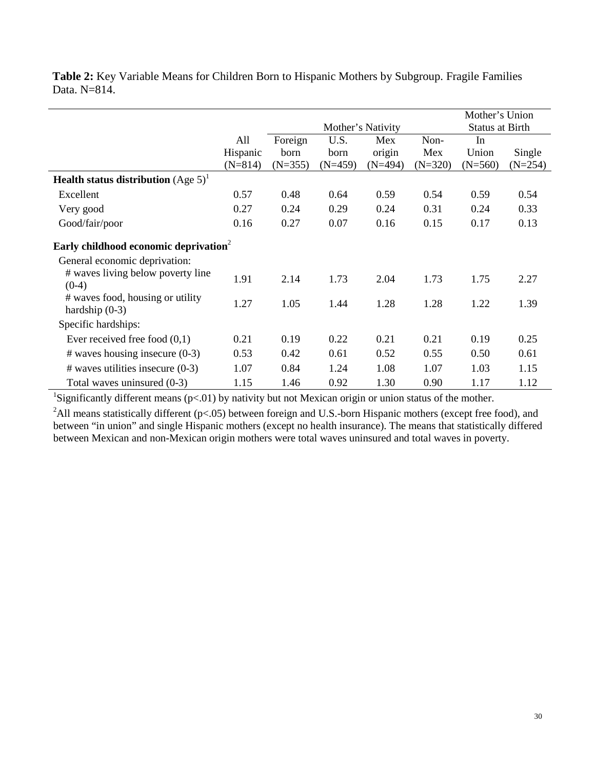|                                                           |           |           |                   |                        |           | Mother's Union |           |
|-----------------------------------------------------------|-----------|-----------|-------------------|------------------------|-----------|----------------|-----------|
|                                                           |           |           | Mother's Nativity | <b>Status at Birth</b> |           |                |           |
|                                                           | All       | Foreign   | U.S.              | Mex                    | Non-      | In             |           |
|                                                           | Hispanic  | born      | born              | origin                 | Mex       | Union          | Single    |
|                                                           | $(N=814)$ | $(N=355)$ | $(N=459)$         | $(N=494)$              | $(N=320)$ | $(N=560)$      | $(N=254)$ |
| <b>Health status distribution</b> (Age $5$ ) <sup>1</sup> |           |           |                   |                        |           |                |           |
| Excellent                                                 | 0.57      | 0.48      | 0.64              | 0.59                   | 0.54      | 0.59           | 0.54      |
| Very good                                                 | 0.27      | 0.24      | 0.29              | 0.24                   | 0.31      | 0.24           | 0.33      |
| Good/fair/poor                                            | 0.16      | 0.27      | 0.07              | 0.16                   | 0.15      | 0.17           | 0.13      |
| Early childhood economic deprivation <sup>2</sup>         |           |           |                   |                        |           |                |           |
| General economic deprivation:                             |           |           |                   |                        |           |                |           |
| # waves living below poverty line                         | 1.91      | 2.14      | 1.73              | 2.04                   | 1.73      | 1.75           | 2.27      |
| $(0-4)$                                                   |           |           |                   |                        |           |                |           |
| # waves food, housing or utility<br>hardship $(0-3)$      | 1.27      | 1.05      | 1.44              | 1.28                   | 1.28      | 1.22           | 1.39      |
| Specific hardships:                                       |           |           |                   |                        |           |                |           |
| Ever received free food $(0,1)$                           | 0.21      | 0.19      | 0.22              | 0.21                   | 0.21      | 0.19           | 0.25      |
| $#$ waves housing insecure (0-3)                          | 0.53      | 0.42      | 0.61              | 0.52                   | 0.55      | 0.50           | 0.61      |
| $#$ waves utilities insecure (0-3)                        | 1.07      | 0.84      | 1.24              | 1.08                   | 1.07      | 1.03           | 1.15      |

**Table 2:** Key Variable Means for Children Born to Hispanic Mothers by Subgroup. Fragile Families Data. N=814.

<sup>1</sup>Significantly different means ( $p<01$ ) by nativity but not Mexican origin or union status of the mother.

<sup>2</sup>All means statistically different ( $p$ <.05) between foreign and U.S.-born Hispanic mothers (except free food), and between "in union" and single Hispanic mothers (except no health insurance). The means that statistically differed between Mexican and non-Mexican origin mothers were total waves uninsured and total waves in poverty.

Total waves uninsured (0-3) 1.15 1.46 0.92 1.30 0.90 1.17 1.12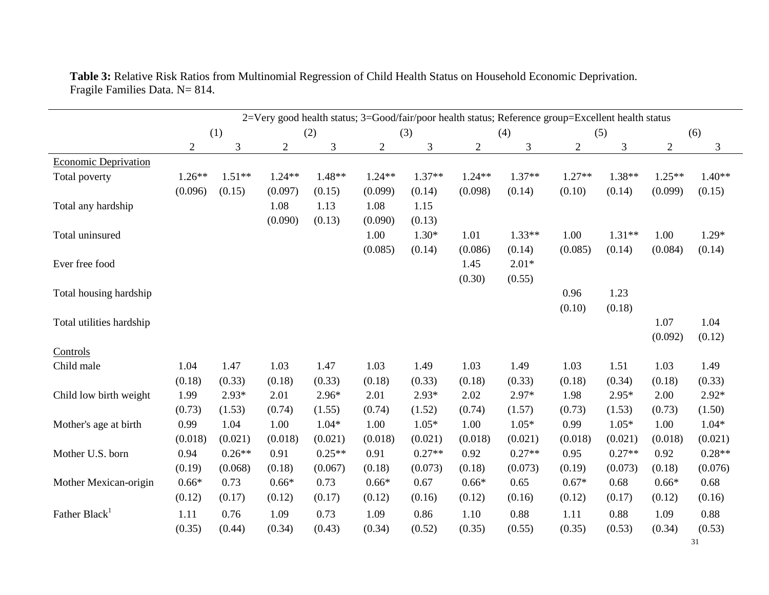|                           | 2=Very good health status; 3=Good/fair/poor health status; Reference group=Excellent health status |          |                |          |                |                |              |          |                |          |                |          |
|---------------------------|----------------------------------------------------------------------------------------------------|----------|----------------|----------|----------------|----------------|--------------|----------|----------------|----------|----------------|----------|
|                           | (1)                                                                                                |          | (2)            |          | (3)            |                | (4)          |          | (5)            |          | (6)            |          |
|                           | $\overline{2}$                                                                                     | 3        | $\overline{2}$ | 3        | $\overline{c}$ | $\mathfrak{Z}$ | $\mathbf{2}$ | 3        | $\overline{2}$ | 3        | $\overline{2}$ | 3        |
| Economic Deprivation      |                                                                                                    |          |                |          |                |                |              |          |                |          |                |          |
| Total poverty             | $1.26**$                                                                                           | $1.51**$ | $1.24**$       | $1.48**$ | $1.24**$       | $1.37**$       | $1.24**$     | $1.37**$ | $1.27**$       | $1.38**$ | $1.25**$       | $1.40**$ |
|                           | (0.096)                                                                                            | (0.15)   | (0.097)        | (0.15)   | (0.099)        | (0.14)         | (0.098)      | (0.14)   | (0.10)         | (0.14)   | (0.099)        | (0.15)   |
| Total any hardship        |                                                                                                    |          | 1.08           | 1.13     | 1.08           | 1.15           |              |          |                |          |                |          |
|                           |                                                                                                    |          | (0.090)        | (0.13)   | (0.090)        | (0.13)         |              |          |                |          |                |          |
| Total uninsured           |                                                                                                    |          |                |          | 1.00           | $1.30*$        | 1.01         | $1.33**$ | 1.00           | $1.31**$ | 1.00           | $1.29*$  |
|                           |                                                                                                    |          |                |          | (0.085)        | (0.14)         | (0.086)      | (0.14)   | (0.085)        | (0.14)   | (0.084)        | (0.14)   |
| Ever free food            |                                                                                                    |          |                |          |                |                | 1.45         | $2.01*$  |                |          |                |          |
|                           |                                                                                                    |          |                |          |                |                | (0.30)       | (0.55)   |                |          |                |          |
| Total housing hardship    |                                                                                                    |          |                |          |                |                |              |          | 0.96           | 1.23     |                |          |
|                           |                                                                                                    |          |                |          |                |                |              |          | (0.10)         | (0.18)   |                |          |
| Total utilities hardship  |                                                                                                    |          |                |          |                |                |              |          |                |          | 1.07           | 1.04     |
|                           |                                                                                                    |          |                |          |                |                |              |          |                |          | (0.092)        | (0.12)   |
| Controls                  |                                                                                                    |          |                |          |                |                |              |          |                |          |                |          |
| Child male                | 1.04                                                                                               | 1.47     | 1.03           | 1.47     | 1.03           | 1.49           | 1.03         | 1.49     | 1.03           | 1.51     | 1.03           | 1.49     |
|                           | (0.18)                                                                                             | (0.33)   | (0.18)         | (0.33)   | (0.18)         | (0.33)         | (0.18)       | (0.33)   | (0.18)         | (0.34)   | (0.18)         | (0.33)   |
| Child low birth weight    | 1.99                                                                                               | $2.93*$  | 2.01           | $2.96*$  | 2.01           | $2.93*$        | 2.02         | $2.97*$  | 1.98           | $2.95*$  | 2.00           | $2.92*$  |
|                           | (0.73)                                                                                             | (1.53)   | (0.74)         | (1.55)   | (0.74)         | (1.52)         | (0.74)       | (1.57)   | (0.73)         | (1.53)   | (0.73)         | (1.50)   |
| Mother's age at birth     | 0.99                                                                                               | 1.04     | 1.00           | $1.04*$  | 1.00           | $1.05*$        | 1.00         | $1.05*$  | 0.99           | $1.05*$  | 1.00           | $1.04*$  |
|                           | (0.018)                                                                                            | (0.021)  | (0.018)        | (0.021)  | (0.018)        | (0.021)        | (0.018)      | (0.021)  | (0.018)        | (0.021)  | (0.018)        | (0.021)  |
| Mother U.S. born          | 0.94                                                                                               | $0.26**$ | 0.91           | $0.25**$ | 0.91           | $0.27**$       | 0.92         | $0.27**$ | 0.95           | $0.27**$ | 0.92           | $0.28**$ |
|                           | (0.19)                                                                                             | (0.068)  | (0.18)         | (0.067)  | (0.18)         | (0.073)        | (0.18)       | (0.073)  | (0.19)         | (0.073)  | (0.18)         | (0.076)  |
| Mother Mexican-origin     | $0.66*$                                                                                            | 0.73     | $0.66*$        | 0.73     | $0.66*$        | 0.67           | $0.66*$      | 0.65     | $0.67*$        | 0.68     | $0.66*$        | 0.68     |
|                           | (0.12)                                                                                             | (0.17)   | (0.12)         | (0.17)   | (0.12)         | (0.16)         | (0.12)       | (0.16)   | (0.12)         | (0.17)   | (0.12)         | (0.16)   |
| Father Black <sup>1</sup> | 1.11                                                                                               | 0.76     | 1.09           | 0.73     | 1.09           | 0.86           | 1.10         | 0.88     | 1.11           | 0.88     | 1.09           | 0.88     |
|                           | (0.35)                                                                                             | (0.44)   | (0.34)         | (0.43)   | (0.34)         | (0.52)         | (0.35)       | (0.55)   | (0.35)         | (0.53)   | (0.34)         | (0.53)   |

**Table 3:** Relative Risk Ratios from Multinomial Regression of Child Health Status on Household Economic Deprivation. Fragile Families Data. N= 814.

31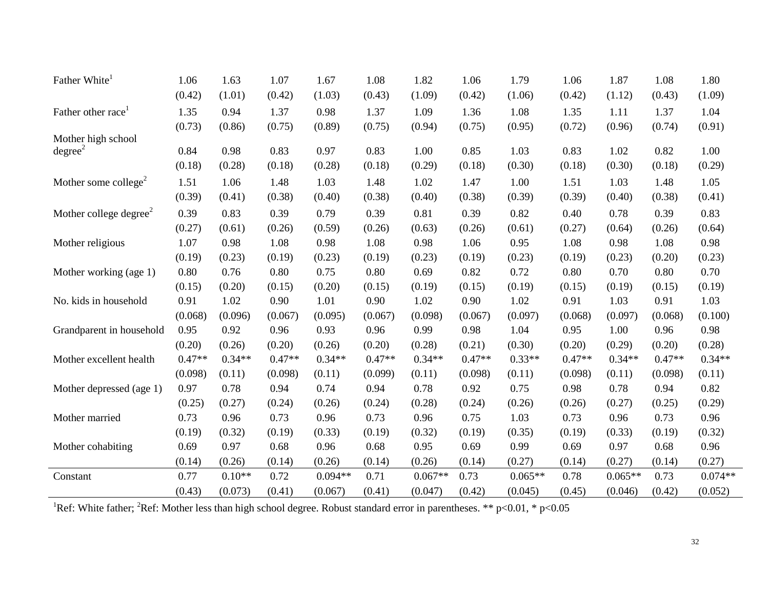| Father White                       | 1.06     | 1.63     | 1.07     | 1.67      | 1.08     | 1.82      | 1.06     | 1.79      | 1.06     | 1.87      | 1.08     | 1.80      |
|------------------------------------|----------|----------|----------|-----------|----------|-----------|----------|-----------|----------|-----------|----------|-----------|
|                                    | (0.42)   | (1.01)   | (0.42)   | (1.03)    | (0.43)   | (1.09)    | (0.42)   | (1.06)    | (0.42)   | (1.12)    | (0.43)   | (1.09)    |
| Father other race                  | 1.35     | 0.94     | 1.37     | 0.98      | 1.37     | 1.09      | 1.36     | 1.08      | 1.35     | 1.11      | 1.37     | 1.04      |
|                                    | (0.73)   | (0.86)   | (0.75)   | (0.89)    | (0.75)   | (0.94)    | (0.75)   | (0.95)    | (0.72)   | (0.96)    | (0.74)   | (0.91)    |
| Mother high school                 |          |          |          |           |          |           |          |           |          |           |          |           |
| degree <sup>2</sup>                | 0.84     | 0.98     | 0.83     | 0.97      | 0.83     | 1.00      | 0.85     | 1.03      | 0.83     | 1.02      | 0.82     | 1.00      |
|                                    | (0.18)   | (0.28)   | (0.18)   | (0.28)    | (0.18)   | (0.29)    | (0.18)   | (0.30)    | (0.18)   | (0.30)    | (0.18)   | (0.29)    |
| Mother some college <sup>2</sup>   | 1.51     | 1.06     | 1.48     | 1.03      | 1.48     | 1.02      | 1.47     | 1.00      | 1.51     | 1.03      | 1.48     | 1.05      |
|                                    | (0.39)   | (0.41)   | (0.38)   | (0.40)    | (0.38)   | (0.40)    | (0.38)   | (0.39)    | (0.39)   | (0.40)    | (0.38)   | (0.41)    |
| Mother college degree <sup>2</sup> | 0.39     | 0.83     | 0.39     | 0.79      | 0.39     | 0.81      | 0.39     | 0.82      | 0.40     | 0.78      | 0.39     | 0.83      |
|                                    | (0.27)   | (0.61)   | (0.26)   | (0.59)    | (0.26)   | (0.63)    | (0.26)   | (0.61)    | (0.27)   | (0.64)    | (0.26)   | (0.64)    |
| Mother religious                   | 1.07     | 0.98     | 1.08     | 0.98      | 1.08     | 0.98      | 1.06     | 0.95      | 1.08     | 0.98      | 1.08     | 0.98      |
|                                    | (0.19)   | (0.23)   | (0.19)   | (0.23)    | (0.19)   | (0.23)    | (0.19)   | (0.23)    | (0.19)   | (0.23)    | (0.20)   | (0.23)    |
| Mother working (age 1)             | 0.80     | 0.76     | 0.80     | 0.75      | 0.80     | 0.69      | 0.82     | 0.72      | 0.80     | 0.70      | 0.80     | 0.70      |
|                                    | (0.15)   | (0.20)   | (0.15)   | (0.20)    | (0.15)   | (0.19)    | (0.15)   | (0.19)    | (0.15)   | (0.19)    | (0.15)   | (0.19)    |
| No. kids in household              | 0.91     | 1.02     | 0.90     | 1.01      | 0.90     | 1.02      | 0.90     | 1.02      | 0.91     | 1.03      | 0.91     | 1.03      |
|                                    | (0.068)  | (0.096)  | (0.067)  | (0.095)   | (0.067)  | (0.098)   | (0.067)  | (0.097)   | (0.068)  | (0.097)   | (0.068)  | (0.100)   |
| Grandparent in household           | 0.95     | 0.92     | 0.96     | 0.93      | 0.96     | 0.99      | 0.98     | 1.04      | 0.95     | 1.00      | 0.96     | 0.98      |
|                                    | (0.20)   | (0.26)   | (0.20)   | (0.26)    | (0.20)   | (0.28)    | (0.21)   | (0.30)    | (0.20)   | (0.29)    | (0.20)   | (0.28)    |
| Mother excellent health            | $0.47**$ | $0.34**$ | $0.47**$ | $0.34**$  | $0.47**$ | $0.34**$  | $0.47**$ | $0.33**$  | $0.47**$ | $0.34**$  | $0.47**$ | $0.34**$  |
|                                    | (0.098)  | (0.11)   | (0.098)  | (0.11)    | (0.099)  | (0.11)    | (0.098)  | (0.11)    | (0.098)  | (0.11)    | (0.098)  | (0.11)    |
| Mother depressed (age 1)           | 0.97     | 0.78     | 0.94     | 0.74      | 0.94     | 0.78      | 0.92     | 0.75      | 0.98     | 0.78      | 0.94     | 0.82      |
|                                    | (0.25)   | (0.27)   | (0.24)   | (0.26)    | (0.24)   | (0.28)    | (0.24)   | (0.26)    | (0.26)   | (0.27)    | (0.25)   | (0.29)    |
| Mother married                     | 0.73     | 0.96     | 0.73     | 0.96      | 0.73     | 0.96      | 0.75     | 1.03      | 0.73     | 0.96      | 0.73     | 0.96      |
|                                    | (0.19)   | (0.32)   | (0.19)   | (0.33)    | (0.19)   | (0.32)    | (0.19)   | (0.35)    | (0.19)   | (0.33)    | (0.19)   | (0.32)    |
| Mother cohabiting                  | 0.69     | 0.97     | 0.68     | 0.96      | 0.68     | 0.95      | 0.69     | 0.99      | 0.69     | 0.97      | 0.68     | 0.96      |
|                                    | (0.14)   | (0.26)   | (0.14)   | (0.26)    | (0.14)   | (0.26)    | (0.14)   | (0.27)    | (0.14)   | (0.27)    | (0.14)   | (0.27)    |
| Constant                           | 0.77     | $0.10**$ | 0.72     | $0.094**$ | 0.71     | $0.067**$ | 0.73     | $0.065**$ | 0.78     | $0.065**$ | 0.73     | $0.074**$ |
|                                    | (0.43)   | (0.073)  | (0.41)   | (0.067)   | (0.41)   | (0.047)   | (0.42)   | (0.045)   | (0.45)   | (0.046)   | (0.42)   | (0.052)   |

<sup>1</sup>Ref: White father; <sup>2</sup>Ref: Mother less than high school degree. Robust standard error in parentheses. \*\* p<0.01, \* p<0.05